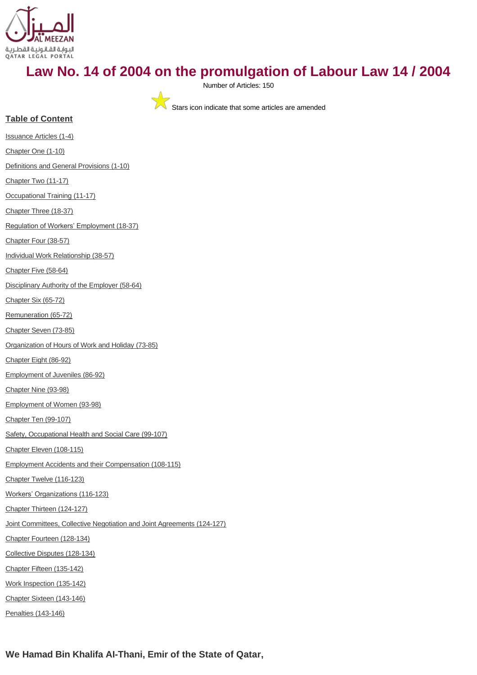

# **Law No. 14 of 2004 on the promulgation of Labour Law 14 / 2004**

Number of Articles: 150

Stars icon indicate that some articles are amended

# **Table of Content**

[Issuance Articles \(1-4\)](#page-1-0) [Chapter One \(1-10\)](#page-2-0) [Definitions and General Provisions \(1-10\)](#page-2-1) [Chapter Two \(11-17\)](#page-4-0) [Occupational Training \(11-17\)](#page-4-1) [Chapter Three \(18-37\)](#page-6-0) [Regulation of Workers' Employment](#page-6-1) (18-37) [Chapter Four \(38-57\)](#page-9-0) [Individual Work Relationship \(38-57\)](#page-9-1) [Chapter Five \(58-64\)](#page-13-0) [Disciplinary Authority of the Employer \(58-64\)](#page-13-1) [Chapter Six \(65-72\)](#page-15-0) [Remuneration \(65-72\)](#page-15-1) [Chapter Seven \(73-85\)](#page-17-0) [Organization of Hours of Work and Holiday \(73-85\)](#page-17-1) [Chapter Eight \(86-92\)](#page-19-0) [Employment of Juveniles \(86-92\)](#page-19-1) [Chapter Nine \(93-98\)](#page-20-0) [Employment of Women \(93-98\)](#page-20-1) [Chapter Ten \(99-107\)](#page-21-0) [Safety, Occupational Health and Social Care \(99-107\)](#page-21-1) [Chapter Eleven \(108-115\)](#page-23-0) [Employment Accidents and their Compensation \(108-115\)](#page-23-1) [Chapter Twelve \(116-123\)](#page-25-0) [Workers' Organizations](#page-25-1) (116-123) [Chapter Thirteen \(124-127\)](#page-26-0) [Joint Committees, Collective Negotiation and Joint Agreements \(124-127\)](#page-26-1) [Chapter Fourteen \(128-134\)](#page-27-0) [Collective Disputes \(128-134\)](#page-27-1) [Chapter Fifteen \(135-142\)](#page-28-0) [Work Inspection \(135-142\)](#page-28-1) [Chapter Sixteen \(143-146\)](#page-30-0) [Penalties \(143-146\)](#page-30-1)

**We Hamad Bin Khalifa AI-Thani, Emir of the State of Qatar,**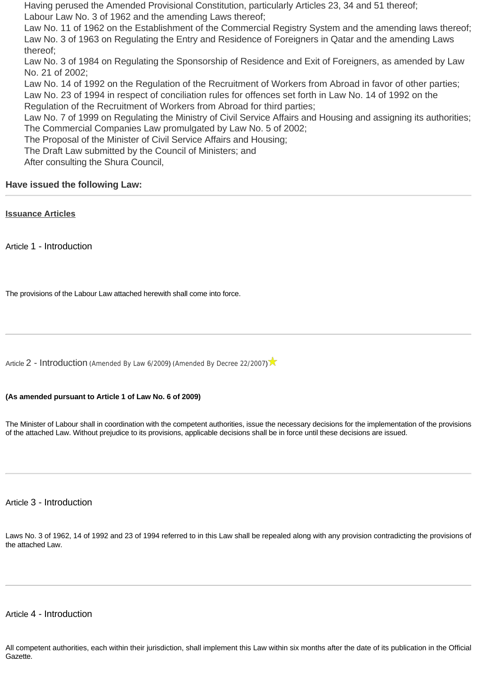Having perused the Amended Provisional Constitution, particularly Articles 23, 34 and 51 thereof; Labour Law No. 3 of 1962 and the amending Laws thereof;

Law No. 11 of 1962 on the Establishment of the Commercial Registry System and the amending laws thereof; Law No. 3 of 1963 on Regulating the Entry and Residence of Foreigners in Qatar and the amending Laws thereof;

Law No. 3 of 1984 on Regulating the Sponsorship of Residence and Exit of Foreigners, as amended by Law No. 21 of 2002;

Law No. 14 of 1992 on the Regulation of the Recruitment of Workers from Abroad in favor of other parties; Law No. 23 of 1994 in respect of conciliation rules for offences set forth in Law No. 14 of 1992 on the Regulation of the Recruitment of Workers from Abroad for third parties;

Law No. 7 of 1999 on Regulating the Ministry of Civil Service Affairs and Housing and assigning its authorities; The Commercial Companies Law promulgated by Law No. 5 of 2002;

The Proposal of the Minister of Civil Service Affairs and Housing;

The Draft Law submitted by the Council of Ministers; and

After consulting the Shura Council,

# **Have issued the following Law:**

<span id="page-1-0"></span>**[Issuance Articles](http://www.almeezan.qa/DownloadPage.aspx?Target=All&type=2&lawID=3961&language=en#)**

Article 1 - Introduction

The provisions of the Labour Law attached herewith shall come into force.

[Article](http://www.almeezan.qa/LawArticles.aspx?LawArticleID=51787&lawId=3961&language=en) [2 - Introduction](http://www.almeezan.qa/LawArticles.aspx?LawArticleID=51787&lawId=3961&language=en) ([Amended By Law 6/2009](http://www.almeezan.qa/LawPage.aspx?id=2632&language=en)) ([Amended By Decree 22/2007](http://www.almeezan.qa/LawPage.aspx?id=2698&language=en))

# **(As amended pursuant to Article 1 of Law No. 6 of 2009)**

The Minister of Labour shall in coordination with the competent authorities, issue the necessary decisions for the implementation of the provisions of the attached Law. Without prejudice to its provisions, applicable decisions shall be in force until these decisions are issued.

Article 3 - Introduction

Laws No. 3 of 1962, 14 of 1992 and 23 of 1994 referred to in this Law shall be repealed along with any provision contradicting the provisions of the attached Law.

# Article 4 - Introduction

All competent authorities, each within their jurisdiction, shall implement this Law within six months after the date of its publication in the Official Gazette.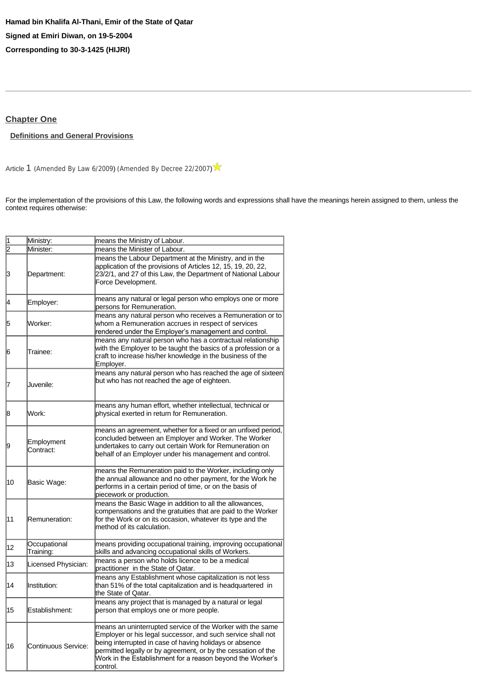# <span id="page-2-0"></span>**[Chapter One](http://www.almeezan.qa/DownloadPage.aspx?Target=All&type=2&lawID=3961&language=en#)**

# <span id="page-2-1"></span>**[Definitions and General Provisions](http://www.almeezan.qa/DownloadPage.aspx?Target=All&type=2&lawID=3961&language=en#)**

[Article](http://www.almeezan.qa/LawArticles.aspx?LawArticleID=51792&lawId=3961&language=en) [1](http://www.almeezan.qa/LawArticles.aspx?LawArticleID=51792&lawId=3961&language=en) ([Amended By Law 6/2009](http://www.almeezan.qa/LawPage.aspx?id=2632&language=en)) ([Amended By Decree 22/2007](http://www.almeezan.qa/LawPage.aspx?id=2698&language=en))

For the implementation of the provisions of this Law, the following words and expressions shall have the meanings herein assigned to them, unless the context requires otherwise:

| 1  | Ministry:                 | means the Ministry of Labour.                                                                                                                                                                                                                                                                                                   |
|----|---------------------------|---------------------------------------------------------------------------------------------------------------------------------------------------------------------------------------------------------------------------------------------------------------------------------------------------------------------------------|
| 2  | Minister:                 | means the Minister of Labour.                                                                                                                                                                                                                                                                                                   |
| 3  | Department:               | means the Labour Department at the Ministry, and in the<br>application of the provisions of Articles 12, 15, 19, 20, 22,<br>23/2/1, and 27 of this Law, the Department of National Labour<br>Force Development.                                                                                                                 |
| 14 | Employer:                 | means any natural or legal person who employs one or more<br>persons for Remuneration.                                                                                                                                                                                                                                          |
| 5  | Worker:                   | means any natural person who receives a Remuneration or to<br>whom a Remuneration accrues in respect of services<br>rendered under the Employer's management and control.                                                                                                                                                       |
| 16 | Trainee:                  | means any natural person who has a contractual relationship<br>with the Employer to be taught the basics of a profession or a<br>craft to increase his/her knowledge in the business of the<br>Employer.                                                                                                                        |
| 7  | Juvenile:                 | means any natural person who has reached the age of sixteen<br>but who has not reached the age of eighteen.                                                                                                                                                                                                                     |
| 18 | Work:                     | means any human effort, whether intellectual, technical or<br>physical exerted in return for Remuneration.                                                                                                                                                                                                                      |
| 19 | Employment<br>Contract:   | means an agreement, whether for a fixed or an unfixed period,<br>concluded between an Employer and Worker. The Worker<br>undertakes to carry out certain Work for Remuneration on<br>behalf of an Employer under his management and control.                                                                                    |
| 10 | Basic Wage:               | means the Remuneration paid to the Worker, including only<br>the annual allowance and no other payment, for the Work he<br>performs in a certain period of time, or on the basis of<br>piecework or production.                                                                                                                 |
| 11 | Remuneration:             | means the Basic Wage in addition to all the allowances,<br>compensations and the gratuities that are paid to the Worker<br>for the Work or on its occasion, whatever its type and the<br>method of its calculation.                                                                                                             |
| 12 | Occupational<br>Training: | means providing occupational training, improving occupational<br>skills and advancing occupational skills of Workers.                                                                                                                                                                                                           |
| 13 | Licensed Physician:       | means a person who holds licence to be a medical<br>practitioner in the State of Qatar.                                                                                                                                                                                                                                         |
| 14 | Institution:              | means any Establishment whose capitalization is not less<br>than 51% of the total capitalization and is headquartered in<br>the State of Qatar.                                                                                                                                                                                 |
| 15 | Establishment:            | means any project that is managed by a natural or legal<br>person that employs one or more people.                                                                                                                                                                                                                              |
| 16 | Continuous Service:       | means an uninterrupted service of the Worker with the same<br>Employer or his legal successor, and such service shall not<br>being interrupted in case of having holidays or absence<br>permitted legally or by agreement, or by the cessation of the<br>Work in the Establishment for a reason beyond the Worker's<br>control. |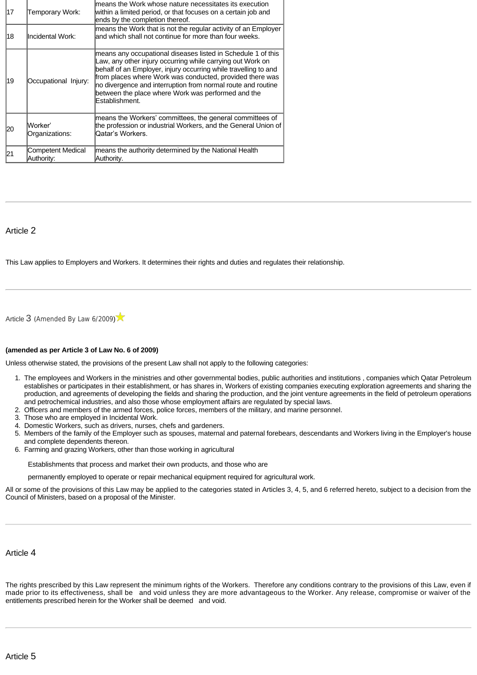| 17 | Temporary Work:                        | means the Work whose nature necessitates its execution<br>within a limited period, or that focuses on a certain job and<br>ends by the completion thereof.                                                                                                                                                                                                                                        |
|----|----------------------------------------|---------------------------------------------------------------------------------------------------------------------------------------------------------------------------------------------------------------------------------------------------------------------------------------------------------------------------------------------------------------------------------------------------|
| 18 | llncidental Work:                      | means the Work that is not the regular activity of an Employer<br>and which shall not continue for more than four weeks.                                                                                                                                                                                                                                                                          |
| 19 | Occupational Injury:                   | means any occupational diseases listed in Schedule 1 of this<br>Law, any other injury occurring while carrying out Work on<br>behalf of an Employer, injury occurring while travelling to and<br>from places where Work was conducted, provided there was<br>no divergence and interruption from normal route and routine<br>between the place where Work was performed and the<br>Establishment. |
| 20 | lWorker'<br>Organizations:             | means the Workers' committees, the general committees of<br>the profession or industrial Workers, and the General Union of<br>Qatar's Workers.                                                                                                                                                                                                                                                    |
|    | <b>Competent Medical</b><br>Authority: | means the authority determined by the National Health<br>Authority.                                                                                                                                                                                                                                                                                                                               |

# Article 2

This Law applies to Employers and Workers. It determines their rights and duties and regulates their relationship.

[Article](http://www.almeezan.qa/LawArticles.aspx?LawArticleID=51796&lawId=3961&language=en) [3](http://www.almeezan.qa/LawArticles.aspx?LawArticleID=51796&lawId=3961&language=en) ([Amended By Law 6/2009](http://www.almeezan.qa/LawPage.aspx?id=2632&language=en))

#### **(amended as per Article 3 of Law No. 6 of 2009)**

Unless otherwise stated, the provisions of the present Law shall not apply to the following categories:

- 1. The employees and Workers in the ministries and other governmental bodies, public authorities and institutions , companies which Qatar Petroleum establishes or participates in their establishment, or has shares in, Workers of existing companies executing exploration agreements and sharing the production, and agreements of developing the fields and sharing the production, and the joint venture agreements in the field of petroleum operations and petrochemical industries, and also those whose employment affairs are regulated by special laws.
- 2. Officers and members of the armed forces, police forces, members of the military, and marine personnel.
- 3. Those who are employed in Incidental Work.
- 4. Domestic Workers, such as drivers, nurses, chefs and gardeners.
- 5. Members of the family of the Employer such as spouses, maternal and paternal forebears, descendants and Workers living in the Employer's house and complete dependents thereon.
- 6. Farming and grazing Workers, other than those working in agricultural

Establishments that process and market their own products, and those who are

permanently employed to operate or repair mechanical equipment required for agricultural work.

All or some of the provisions of this Law may be applied to the categories stated in Articles 3, 4, 5, and 6 referred hereto, subject to a decision from the Council of Ministers, based on a proposal of the Minister.

# Article 4

The rights prescribed by this Law represent the minimum rights of the Workers. Therefore any conditions contrary to the provisions of this Law, even if made prior to its effectiveness, shall be and void unless they are more advantageous to the Worker. Any release, compromise or waiver of the entitlements prescribed herein for the Worker shall be deemed and void.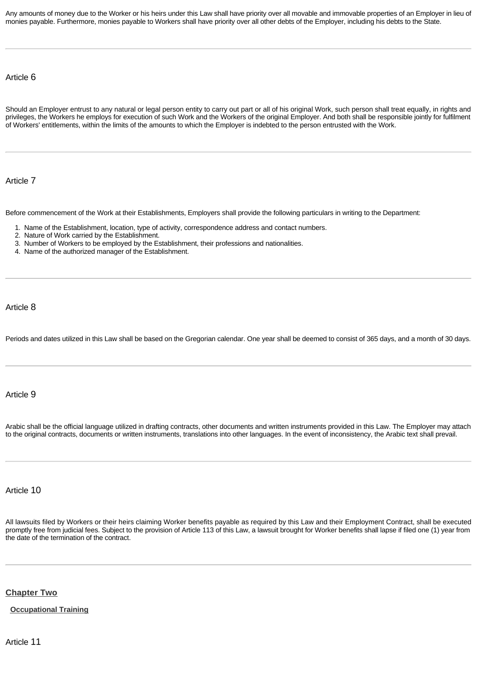Any amounts of money due to the Worker or his heirs under this Law shall have priority over all movable and immovable properties of an Employer in lieu of monies payable. Furthermore, monies payable to Workers shall have priority over all other debts of the Employer, including his debts to the State.

# Article 6

Should an Employer entrust to any natural or legal person entity to carry out part or all of his original Work, such person shall treat equally, in rights and privileges, the Workers he employs for execution of such Work and the Workers of the original Employer. And both shall be responsible jointly for fulfilment of Workers' entitlements, within the limits of the amounts to which the Employer is indebted to the person entrusted with the Work.

Article 7

Before commencement of the Work at their Establishments, Employers shall provide the following particulars in writing to the Department:

- 1. Name of the Establishment, location, type of activity, correspondence address and contact numbers.
- 2. Nature of Work carried by the Establishment.
- 3. Number of Workers to be employed by the Establishment, their professions and nationalities.
- 4. Name of the authorized manager of the Establishment.

#### Article 8

Periods and dates utilized in this Law shall be based on the Gregorian calendar. One year shall be deemed to consist of 365 days, and a month of 30 days.

# Article 9

Arabic shall be the official language utilized in drafting contracts, other documents and written instruments provided in this Law. The Employer may attach to the original contracts, documents or written instruments, translations into other languages. In the event of inconsistency, the Arabic text shall prevail.

# Article 10

All lawsuits filed by Workers or their heirs claiming Worker benefits payable as required by this Law and their Employment Contract, shall be executed promptly free from judicial fees. Subject to the provision of Article 113 of this Law, a lawsuit brought for Worker benefits shall lapse if filed one (1) year from the date of the termination of the contract.

# <span id="page-4-0"></span>**[Chapter Two](http://www.almeezan.qa/DownloadPage.aspx?Target=All&type=2&lawID=3961&language=en#)**

# <span id="page-4-1"></span>**[Occupational Training](http://www.almeezan.qa/DownloadPage.aspx?Target=All&type=2&lawID=3961&language=en#)**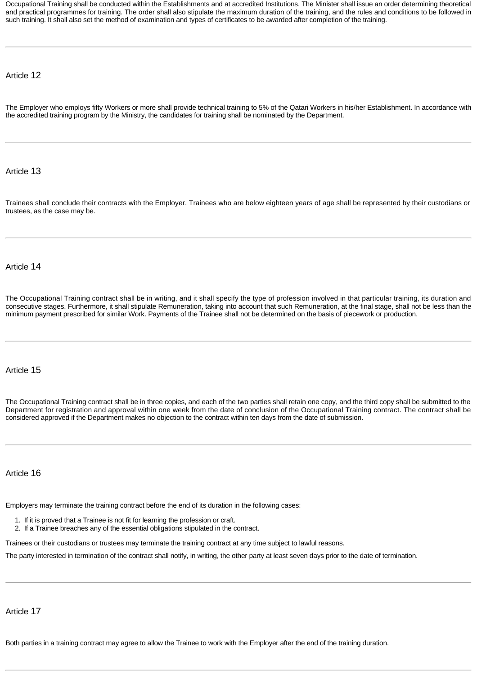Occupational Training shall be conducted within the Establishments and at accredited Institutions. The Minister shall issue an order determining theoretical and practical programmes for training. The order shall also stipulate the maximum duration of the training, and the rules and conditions to be followed in such training. It shall also set the method of examination and types of certificates to be awarded after completion of the training.

# Article 12

The Employer who employs fifty Workers or more shall provide technical training to 5% of the Qatari Workers in his/her Establishment. In accordance with the accredited training program by the Ministry, the candidates for training shall be nominated by the Department.

# Article 13

Trainees shall conclude their contracts with the Employer. Trainees who are below eighteen years of age shall be represented by their custodians or trustees, as the case may be.

# Article 14

The Occupational Training contract shall be in writing, and it shall specify the type of profession involved in that particular training, its duration and consecutive stages. Furthermore, it shall stipulate Remuneration, taking into account that such Remuneration, at the final stage, shall not be less than the minimum payment prescribed for similar Work. Payments of the Trainee shall not be determined on the basis of piecework or production.

# Article 15

The Occupational Training contract shall be in three copies, and each of the two parties shall retain one copy, and the third copy shall be submitted to the Department for registration and approval within one week from the date of conclusion of the Occupational Training contract. The contract shall be considered approved if the Department makes no objection to the contract within ten days from the date of submission.

# Article 16

Employers may terminate the training contract before the end of its duration in the following cases:

- 1. If it is proved that a Trainee is not fit for learning the profession or craft.
- 2. If a Trainee breaches any of the essential obligations stipulated in the contract.

Trainees or their custodians or trustees may terminate the training contract at any time subject to lawful reasons.

The party interested in termination of the contract shall notify, in writing, the other party at least seven days prior to the date of termination.

Article 17

Both parties in a training contract may agree to allow the Trainee to work with the Employer after the end of the training duration.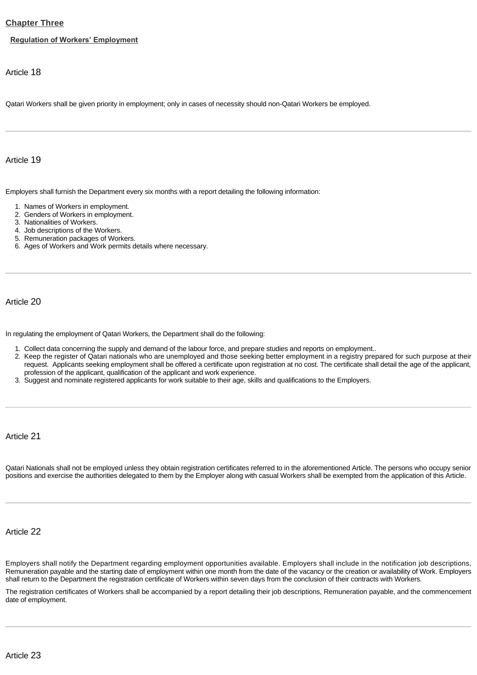# <span id="page-6-0"></span>**[Chapter Three](http://www.almeezan.qa/DownloadPage.aspx?Target=All&type=2&lawID=3961&language=en#)**

#### <span id="page-6-1"></span>**[Regulation of Workers' Employment](http://www.almeezan.qa/DownloadPage.aspx?Target=All&type=2&lawID=3961&language=en#)**

Article 18

Qatari Workers shall be given priority in employment; only in cases of necessity should non-Qatari Workers be employed.

Article 19

Employers shall furnish the Department every six months with a report detailing the following information:

- 1. Names of Workers in employment.
- 2. Genders of Workers in employment.
- 3. Nationalities of Workers.
- 4. Job descriptions of the Workers.
- 5. Remuneration packages of Workers.
- 6. Ages of Workers and Work permits details where necessary.

Article 20

In regulating the employment of Qatari Workers, the Department shall do the following:

- 1. Collect data concerning the supply and demand of the labour force, and prepare studies and reports on employment..
- 2. Keep the register of Qatari nationals who are unemployed and those seeking better employment in a registry prepared for such purpose at their request. Applicants seeking employment shall be offered a certificate upon registration at no cost. The certificate shall detail the age of the applicant, profession of the applicant, qualification of the applicant and work experience.
- 3. Suggest and nominate registered applicants for work suitable to their age, skills and qualifications to the Employers.

Article 21

Qatari Nationals shall not be employed unless they obtain registration certificates referred to in the aforementioned Article. The persons who occupy senior positions and exercise the authorities delegated to them by the Employer along with casual Workers shall be exempted from the application of this Article.

# Article 22

Employers shall notify the Department regarding employment opportunities available. Employers shall include in the notification job descriptions, Remuneration payable and the starting date of employment within one month from the date of the vacancy or the creation or availability of Work. Employers shall return to the Department the registration certificate of Workers within seven days from the conclusion of their contracts with Workers.

The registration certificates of Workers shall be accompanied by a report detailing their job descriptions, Remuneration payable, and the commencement date of employment.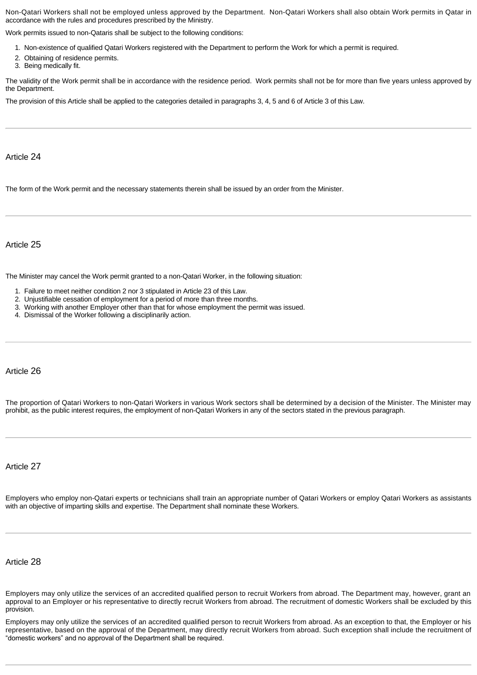Non-Qatari Workers shall not be employed unless approved by the Department. Non-Qatari Workers shall also obtain Work permits in Qatar in accordance with the rules and procedures prescribed by the Ministry.

Work permits issued to non-Qataris shall be subject to the following conditions:

- 1. Non-existence of qualified Qatari Workers registered with the Department to perform the Work for which a permit is required.
- 2. Obtaining of residence permits.
- 3. Being medically fit.

The validity of the Work permit shall be in accordance with the residence period. Work permits shall not be for more than five years unless approved by the Department.

The provision of this Article shall be applied to the categories detailed in paragraphs 3, 4, 5 and 6 of Article 3 of this Law.

### Article 24

The form of the Work permit and the necessary statements therein shall be issued by an order from the Minister.

# Article 25

The Minister may cancel the Work permit granted to a non-Qatari Worker, in the following situation:

- 1. Failure to meet neither condition 2 nor 3 stipulated in Article 23 of this Law.
- 2. Unjustifiable cessation of employment for a period of more than three months.
- 3. Working with another Employer other than that for whose employment the permit was issued.
- 4. Dismissal of the Worker following a disciplinarily action.

### Article 26

The proportion of Qatari Workers to non-Qatari Workers in various Work sectors shall be determined by a decision of the Minister. The Minister may prohibit, as the public interest requires, the employment of non-Qatari Workers in any of the sectors stated in the previous paragraph.

Article 27

Employers who employ non-Qatari experts or technicians shall train an appropriate number of Qatari Workers or employ Qatari Workers as assistants with an objective of imparting skills and expertise. The Department shall nominate these Workers.

Article 28

Employers may only utilize the services of an accredited qualified person to recruit Workers from abroad. The Department may, however, grant an approval to an Employer or his representative to directly recruit Workers from abroad. The recruitment of domestic Workers shall be excluded by this provision.

Employers may only utilize the services of an accredited qualified person to recruit Workers from abroad. As an exception to that, the Employer or his representative, based on the approval of the Department, may directly recruit Workers from abroad. Such exception shall include the recruitment of "domestic workers" and no approval of the Department shall be required.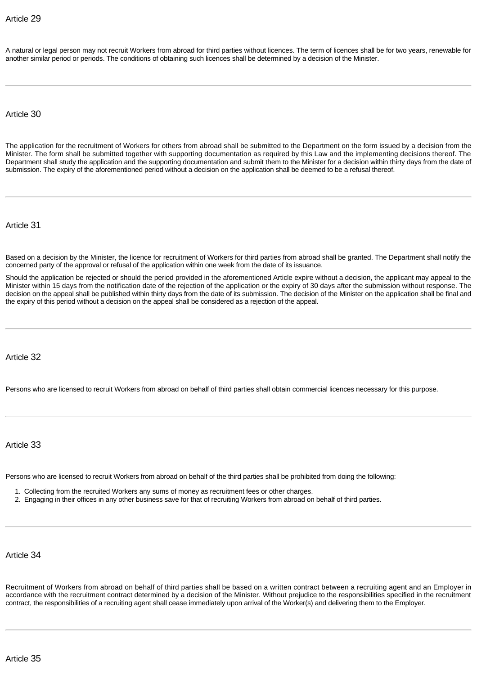A natural or legal person may not recruit Workers from abroad for third parties without licences. The term of licences shall be for two years, renewable for another similar period or periods. The conditions of obtaining such licences shall be determined by a decision of the Minister.

Article 30

The application for the recruitment of Workers for others from abroad shall be submitted to the Department on the form issued by a decision from the Minister. The form shall be submitted together with supporting documentation as required by this Law and the implementing decisions thereof. The Department shall study the application and the supporting documentation and submit them to the Minister for a decision within thirty days from the date of submission. The expiry of the aforementioned period without a decision on the application shall be deemed to be a refusal thereof.

Article 31

Based on a decision by the Minister, the licence for recruitment of Workers for third parties from abroad shall be granted. The Department shall notify the concerned party of the approval or refusal of the application within one week from the date of its issuance.

Should the application be rejected or should the period provided in the aforementioned Article expire without a decision, the applicant may appeal to the Minister within 15 days from the notification date of the rejection of the application or the expiry of 30 days after the submission without response. The decision on the appeal shall be published within thirty days from the date of its submission. The decision of the Minister on the application shall be final and the expiry of this period without a decision on the appeal shall be considered as a rejection of the appeal.

Article 32

Persons who are licensed to recruit Workers from abroad on behalf of third parties shall obtain commercial licences necessary for this purpose.

Article 33

Persons who are licensed to recruit Workers from abroad on behalf of the third parties shall be prohibited from doing the following:

- 1. Collecting from the recruited Workers any sums of money as recruitment fees or other charges.
- 2. Engaging in their offices in any other business save for that of recruiting Workers from abroad on behalf of third parties.

Article 34

Recruitment of Workers from abroad on behalf of third parties shall be based on a written contract between a recruiting agent and an Employer in accordance with the recruitment contract determined by a decision of the Minister. Without prejudice to the responsibilities specified in the recruitment contract, the responsibilities of a recruiting agent shall cease immediately upon arrival of the Worker(s) and delivering them to the Employer.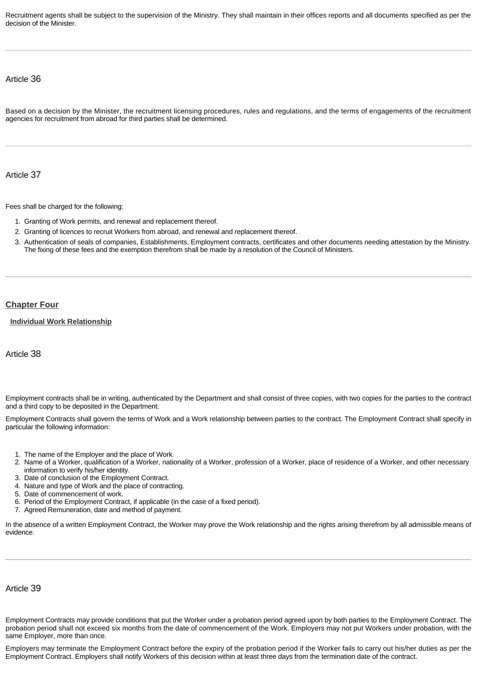Recruitment agents shall be subject to the supervision of the Ministry. They shall maintain in their offices reports and all documents specified as per the decision of the Minister.

# Article 36

Based on a decision by the Minister, the recruitment licensing procedures, rules and regulations, and the terms of engagements of the recruitment agencies for recruitment from abroad for third parties shall be determined.

Article 37

Fees shall be charged for the following:

- 1. Granting of Work permits, and renewal and replacement thereof.
- 2. Granting of licences to recruit Workers from abroad, and renewal and replacement thereof.
- 3. Authentication of seals of companies, Establishments, Employment contracts, certificates and other documents needing attestation by the Ministry. The fixing of these fees and the exemption therefrom shall be made by a resolution of the Council of Ministers.

# <span id="page-9-0"></span>**[Chapter Four](http://www.almeezan.qa/DownloadPage.aspx?Target=All&type=2&lawID=3961&language=en#)**

<span id="page-9-1"></span>**[Individual Work Relationship](http://www.almeezan.qa/DownloadPage.aspx?Target=All&type=2&lawID=3961&language=en#)**

Article 38

Employment contracts shall be in writing, authenticated by the Department and shall consist of three copies, with two copies for the parties to the contract and a third copy to be deposited in the Department.

Employment Contracts shall govern the terms of Work and a Work relationship between parties to the contract. The Employment Contract shall specify in particular the following information:

- 1. The name of the Employer and the place of Work.
- 2. Name of a Worker, qualification of a Worker, nationality of a Worker, profession of a Worker, place of residence of a Worker, and other necessary information to verify his/her identity.
- 3. Date of conclusion of the Employment Contract.
- 4. Nature and type of Work and the place of contracting.
- 5. Date of commencement of work.
- 6. Period of the Employment Contract, if applicable (in the case of a fixed period).
- 7. Agreed Remuneration, date and method of payment.

In the absence of a written Employment Contract, the Worker may prove the Work relationship and the rights arising therefrom by all admissible means of evidence.

# Article 39

Employment Contracts may provide conditions that put the Worker under a probation period agreed upon by both parties to the Employment Contract. The probation period shall not exceed six months from the date of commencement of the Work. Employers may not put Workers under probation, with the same Employer, more than once.

Employers may terminate the Employment Contract before the expiry of the probation period if the Worker fails to carry out his/her duties as per the Employment Contract. Employers shall notify Workers of this decision within at least three days from the termination date of the contract.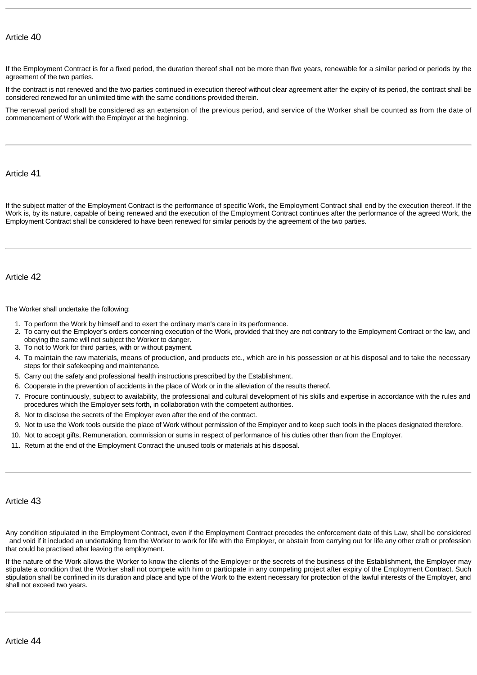If the Employment Contract is for a fixed period, the duration thereof shall not be more than five years, renewable for a similar period or periods by the agreement of the two parties.

If the contract is not renewed and the two parties continued in execution thereof without clear agreement after the expiry of its period, the contract shall be considered renewed for an unlimited time with the same conditions provided therein.

The renewal period shall be considered as an extension of the previous period, and service of the Worker shall be counted as from the date of commencement of Work with the Employer at the beginning.

# Article 41

If the subject matter of the Employment Contract is the performance of specific Work, the Employment Contract shall end by the execution thereof. If the Work is, by its nature, capable of being renewed and the execution of the Employment Contract continues after the performance of the agreed Work, the Employment Contract shall be considered to have been renewed for similar periods by the agreement of the two parties.

# Article 42

The Worker shall undertake the following:

- 1. To perform the Work by himself and to exert the ordinary man's care in its performance.
- 2. To carry out the Employer's orders concerning execution of the Work, provided that they are not contrary to the Employment Contract or the law, and obeying the same will not subject the Worker to danger.
- 3. To not to Work for third parties, with or without payment.
- 4. To maintain the raw materials, means of production, and products etc., which are in his possession or at his disposal and to take the necessary steps for their safekeeping and maintenance.
- 5. Carry out the safety and professional health instructions prescribed by the Establishment.
- 6. Cooperate in the prevention of accidents in the place of Work or in the alleviation of the results thereof.
- 7. Procure continuously, subject to availability, the professional and cultural development of his skills and expertise in accordance with the rules and procedures which the Employer sets forth, in collaboration with the competent authorities.
- 8. Not to disclose the secrets of the Employer even after the end of the contract.
- 9. Not to use the Work tools outside the place of Work without permission of the Employer and to keep such tools in the places designated therefore.
- 10. Not to accept gifts, Remuneration, commission or sums in respect of performance of his duties other than from the Employer.
- 11. Return at the end of the Employment Contract the unused tools or materials at his disposal.

# Article 43

Any condition stipulated in the Employment Contract, even if the Employment Contract precedes the enforcement date of this Law, shall be considered and void if it included an undertaking from the Worker to work for life with the Employer, or abstain from carrying out for life any other craft or profession that could be practised after leaving the employment.

If the nature of the Work allows the Worker to know the clients of the Employer or the secrets of the business of the Establishment, the Employer may stipulate a condition that the Worker shall not compete with him or participate in any competing project after expiry of the Employment Contract. Such stipulation shall be confined in its duration and place and type of the Work to the extent necessary for protection of the lawful interests of the Employer, and shall not exceed two years.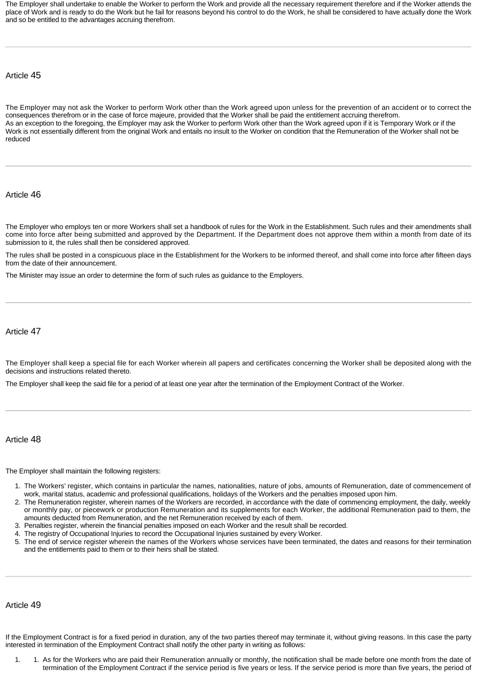The Employer shall undertake to enable the Worker to perform the Work and provide all the necessary requirement therefore and if the Worker attends the place of Work and is ready to do the Work but he fail for reasons beyond his control to do the Work, he shall be considered to have actually done the Work and so be entitled to the advantages accruing therefrom.

# Article 45

The Employer may not ask the Worker to perform Work other than the Work agreed upon unless for the prevention of an accident or to correct the consequences therefrom or in the case of force majeure, provided that the Worker shall be paid the entitlement accruing therefrom. As an exception to the foregoing, the Employer may ask the Worker to perform Work other than the Work agreed upon if it is Temporary Work or if the Work is not essentially different from the original Work and entails no insult to the Worker on condition that the Remuneration of the Worker shall not be reduced

# Article 46

The Employer who employs ten or more Workers shall set a handbook of rules for the Work in the Establishment. Such rules and their amendments shall come into force after being submitted and approved by the Department. If the Department does not approve them within a month from date of its submission to it, the rules shall then be considered approved.

The rules shall be posted in a conspicuous place in the Establishment for the Workers to be informed thereof, and shall come into force after fifteen days from the date of their announcement.

The Minister may issue an order to determine the form of such rules as guidance to the Employers.

# Article 47

The Employer shall keep a special file for each Worker wherein all papers and certificates concerning the Worker shall be deposited along with the decisions and instructions related thereto.

The Employer shall keep the said file for a period of at least one year after the termination of the Employment Contract of the Worker.

#### Article 48

The Employer shall maintain the following registers:

- 1. The Workers' register, which contains in particular the names, nationalities, nature of jobs, amounts of Remuneration, date of commencement of work, marital status, academic and professional qualifications, holidays of the Workers and the penalties imposed upon him.
- 2. The Remuneration register, wherein names of the Workers are recorded, in accordance with the date of commencing employment, the daily, weekly or monthly pay, or piecework or production Remuneration and its supplements for each Worker, the additional Remuneration paid to them, the amounts deducted from Remuneration, and the net Remuneration received by each of them.
- 3. Penalties register, wherein the financial penalties imposed on each Worker and the result shall be recorded.
- 4. The registry of Occupational Injuries to record the Occupational Injuries sustained by every Worker.
- 5. The end of service register wherein the names of the Workers whose services have been terminated, the dates and reasons for their termination and the entitlements paid to them or to their heirs shall be stated.

#### Article 49

If the Employment Contract is for a fixed period in duration, any of the two parties thereof may terminate it, without giving reasons. In this case the party interested in termination of the Employment Contract shall notify the other party in writing as follows:

1. 1. As for the Workers who are paid their Remuneration annually or monthly, the notification shall be made before one month from the date of termination of the Employment Contract if the service period is five years or less. If the service period is more than five years, the period of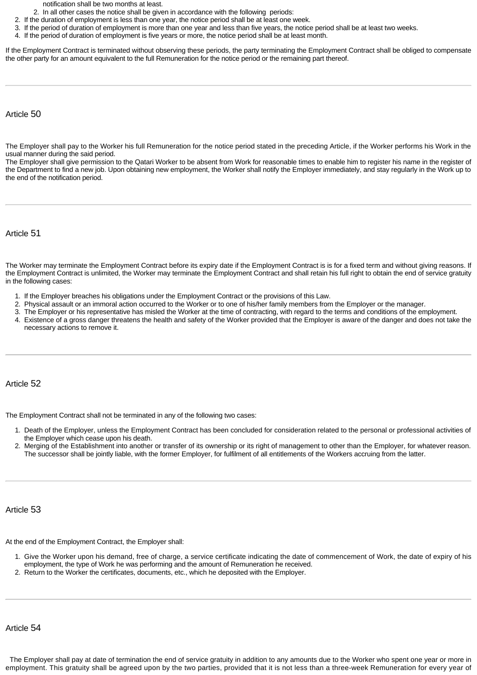notification shall be two months at least.

- 2. In all other cases the notice shall be given in accordance with the following periods:
- 2. If the duration of employment is less than one year, the notice period shall be at least one week.
- 3. If the period of duration of employment is more than one year and less than five years, the notice period shall be at least two weeks.
- 4. If the period of duration of employment is five years or more, the notice period shall be at least month.

If the Employment Contract is terminated without observing these periods, the party terminating the Employment Contract shall be obliged to compensate the other party for an amount equivalent to the full Remuneration for the notice period or the remaining part thereof.

#### Article 50

The Employer shall pay to the Worker his full Remuneration for the notice period stated in the preceding Article, if the Worker performs his Work in the usual manner during the said period.

The Employer shall give permission to the Qatari Worker to be absent from Work for reasonable times to enable him to register his name in the register of the Department to find a new job. Upon obtaining new employment, the Worker shall notify the Employer immediately, and stay regularly in the Work up to the end of the notification period.

Article 51

The Worker may terminate the Employment Contract before its expiry date if the Employment Contract is is for a fixed term and without giving reasons. If the Employment Contract is unlimited, the Worker may terminate the Employment Contract and shall retain his full right to obtain the end of service gratuity in the following cases:

- 1. If the Employer breaches his obligations under the Employment Contract or the provisions of this Law.
- 2. Physical assault or an immoral action occurred to the Worker or to one of his/her family members from the Employer or the manager.
- 3. The Employer or his representative has misled the Worker at the time of contracting, with regard to the terms and conditions of the employment.
- 4. Existence of a gross danger threatens the health and safety of the Worker provided that the Employer is aware of the danger and does not take the necessary actions to remove it.

#### Article 52

The Employment Contract shall not be terminated in any of the following two cases:

- 1. Death of the Employer, unless the Employment Contract has been concluded for consideration related to the personal or professional activities of the Employer which cease upon his death.
- 2. Merging of the Establishment into another or transfer of its ownership or its right of management to other than the Employer, for whatever reason. The successor shall be jointly liable, with the former Employer, for fulfilment of all entitlements of the Workers accruing from the latter.

Article 53

At the end of the Employment Contract, the Employer shall:

- 1. Give the Worker upon his demand, free of charge, a service certificate indicating the date of commencement of Work, the date of expiry of his employment, the type of Work he was performing and the amount of Remuneration he received.
- 2. Return to the Worker the certificates, documents, etc., which he deposited with the Employer.

Article 54

The Employer shall pay at date of termination the end of service gratuity in addition to any amounts due to the Worker who spent one year or more in employment. This gratuity shall be agreed upon by the two parties, provided that it is not less than a three-week Remuneration for every year of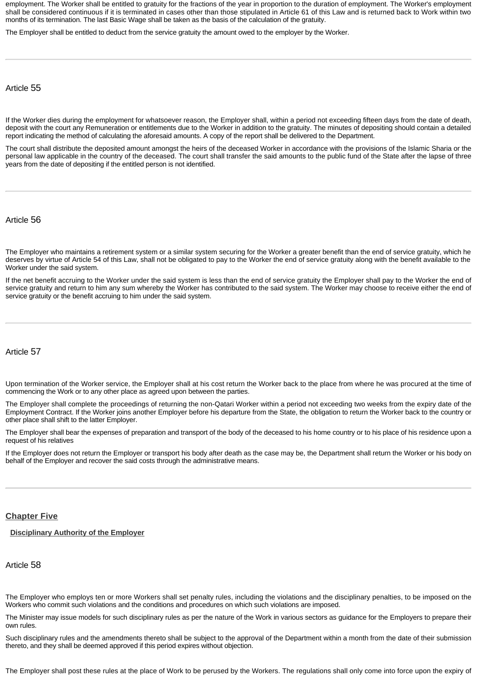employment. The Worker shall be entitled to gratuity for the fractions of the year in proportion to the duration of employment. The Worker's employment shall be considered continuous if it is terminated in cases other than those stipulated in Article 61 of this Law and is returned back to Work within two months of its termination. The last Basic Wage shall be taken as the basis of the calculation of the gratuity.

The Employer shall be entitled to deduct from the service gratuity the amount owed to the employer by the Worker.

Article 55

If the Worker dies during the employment for whatsoever reason, the Employer shall, within a period not exceeding fifteen days from the date of death, deposit with the court any Remuneration or entitlements due to the Worker in addition to the gratuity. The minutes of depositing should contain a detailed report indicating the method of calculating the aforesaid amounts. A copy of the report shall be delivered to the Department.

The court shall distribute the deposited amount amongst the heirs of the deceased Worker in accordance with the provisions of the Islamic Sharia or the personal law applicable in the country of the deceased. The court shall transfer the said amounts to the public fund of the State after the lapse of three years from the date of depositing if the entitled person is not identified.

Article 56

The Employer who maintains a retirement system or a similar system securing for the Worker a greater benefit than the end of service gratuity, which he deserves by virtue of Article 54 of this Law, shall not be obligated to pay to the Worker the end of service gratuity along with the benefit available to the Worker under the said system.

If the net benefit accruing to the Worker under the said system is less than the end of service gratuity the Employer shall pay to the Worker the end of service gratuity and return to him any sum whereby the Worker has contributed to the said system. The Worker may choose to receive either the end of service gratuity or the benefit accruing to him under the said system.

# Article 57

Upon termination of the Worker service, the Employer shall at his cost return the Worker back to the place from where he was procured at the time of commencing the Work or to any other place as agreed upon between the parties.

The Employer shall complete the proceedings of returning the non-Qatari Worker within a period not exceeding two weeks from the expiry date of the Employment Contract. If the Worker joins another Employer before his departure from the State, the obligation to return the Worker back to the country or other place shall shift to the latter Employer.

The Employer shall bear the expenses of preparation and transport of the body of the deceased to his home country or to his place of his residence upon a request of his relatives

If the Employer does not return the Employer or transport his body after death as the case may be, the Department shall return the Worker or his body on behalf of the Employer and recover the said costs through the administrative means.

# <span id="page-13-0"></span>**[Chapter Five](http://www.almeezan.qa/DownloadPage.aspx?Target=All&type=2&lawID=3961&language=en#)**

# <span id="page-13-1"></span>**[Disciplinary Authority of the Employer](http://www.almeezan.qa/DownloadPage.aspx?Target=All&type=2&lawID=3961&language=en#)**

Article 58

The Employer who employs ten or more Workers shall set penalty rules, including the violations and the disciplinary penalties, to be imposed on the Workers who commit such violations and the conditions and procedures on which such violations are imposed.

The Minister may issue models for such disciplinary rules as per the nature of the Work in various sectors as guidance for the Employers to prepare their own rules.

Such disciplinary rules and the amendments thereto shall be subject to the approval of the Department within a month from the date of their submission thereto, and they shall be deemed approved if this period expires without objection.

The Employer shall post these rules at the place of Work to be perused by the Workers. The regulations shall only come into force upon the expiry of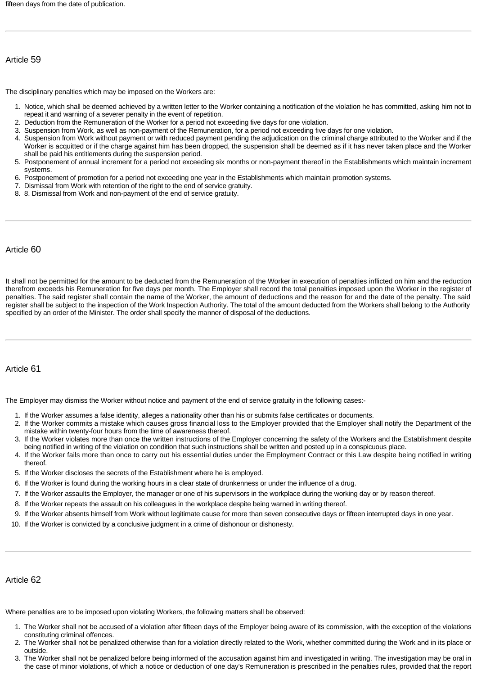# Article 59

The disciplinary penalties which may be imposed on the Workers are:

- 1. Notice, which shall be deemed achieved by a written letter to the Worker containing a notification of the violation he has committed, asking him not to repeat it and warning of a severer penalty in the event of repetition.
- 2. Deduction from the Remuneration of the Worker for a period not exceeding five days for one violation.
- 3. Suspension from Work, as well as non-payment of the Remuneration, for a period not exceeding five days for one violation.
- 4. Suspension from Work without payment or with reduced payment pending the adjudication on the criminal charge attributed to the Worker and if the Worker is acquitted or if the charge against him has been dropped, the suspension shall be deemed as if it has never taken place and the Worker shall be paid his entitlements during the suspension period.
- 5. Postponement of annual increment for a period not exceeding six months or non-payment thereof in the Establishments which maintain increment systems.
- 6. Postponement of promotion for a period not exceeding one year in the Establishments which maintain promotion systems.
- 7. Dismissal from Work with retention of the right to the end of service gratuity.
- 8. 8. Dismissal from Work and non-payment of the end of service gratuity.

# Article 60

It shall not be permitted for the amount to be deducted from the Remuneration of the Worker in execution of penalties inflicted on him and the reduction therefrom exceeds his Remuneration for five days per month. The Employer shall record the total penalties imposed upon the Worker in the register of penalties. The said register shall contain the name of the Worker, the amount of deductions and the reason for and the date of the penalty. The said register shall be subject to the inspection of the Work Inspection Authority. The total of the amount deducted from the Workers shall belong to the Authority specified by an order of the Minister. The order shall specify the manner of disposal of the deductions.

# Article 61

The Employer may dismiss the Worker without notice and payment of the end of service gratuity in the following cases:-

- 1. If the Worker assumes a false identity, alleges a nationality other than his or submits false certificates or documents.
- 2. If the Worker commits a mistake which causes gross financial loss to the Employer provided that the Employer shall notify the Department of the mistake within twenty-four hours from the time of awareness thereof.
- 3. If the Worker violates more than once the written instructions of the Employer concerning the safety of the Workers and the Establishment despite being notified in writing of the violation on condition that such instructions shall be written and posted up in a conspicuous place.
- 4. If the Worker fails more than once to carry out his essential duties under the Employment Contract or this Law despite being notified in writing thereof.
- 5. If the Worker discloses the secrets of the Establishment where he is employed.
- 6. If the Worker is found during the working hours in a clear state of drunkenness or under the influence of a drug.
- 7. If the Worker assaults the Employer, the manager or one of his supervisors in the workplace during the working day or by reason thereof.
- 8. If the Worker repeats the assault on his colleagues in the workplace despite being warned in writing thereof.
- 9. If the Worker absents himself from Work without legitimate cause for more than seven consecutive days or fifteen interrupted days in one year.
- 10. If the Worker is convicted by a conclusive judgment in a crime of dishonour or dishonesty.

#### Article 62

Where penalties are to be imposed upon violating Workers, the following matters shall be observed:

- 1. The Worker shall not be accused of a violation after fifteen days of the Employer being aware of its commission, with the exception of the violations constituting criminal offences.
- 2. The Worker shall not be penalized otherwise than for a violation directly related to the Work, whether committed during the Work and in its place or outside.
- 3. The Worker shall not be penalized before being informed of the accusation against him and investigated in writing. The investigation may be oral in the case of minor violations, of which a notice or deduction of one day's Remuneration is prescribed in the penalties rules, provided that the report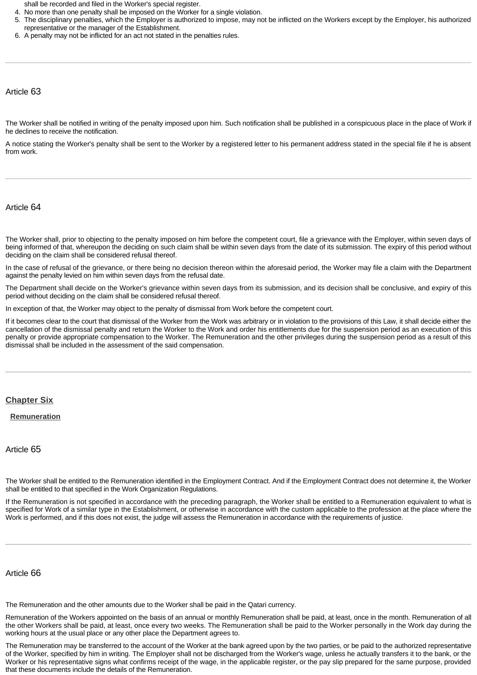shall be recorded and filed in the Worker's special register.

- 4. No more than one penalty shall be imposed on the Worker for a single violation.
- 5. The disciplinary penalties, which the Employer is authorized to impose, may not be inflicted on the Workers except by the Employer, his authorized representative or the manager of the Establishment.
- 6. A penalty may not be inflicted for an act not stated in the penalties rules.

#### Article 63

The Worker shall be notified in writing of the penalty imposed upon him. Such notification shall be published in a conspicuous place in the place of Work if he declines to receive the notification.

A notice stating the Worker's penalty shall be sent to the Worker by a registered letter to his permanent address stated in the special file if he is absent from work.

#### Article 64

The Worker shall, prior to objecting to the penalty imposed on him before the competent court, file a grievance with the Employer, within seven days of being informed of that, whereupon the deciding on such claim shall be within seven days from the date of its submission. The expiry of this period without deciding on the claim shall be considered refusal thereof.

In the case of refusal of the grievance, or there being no decision thereon within the aforesaid period, the Worker may file a claim with the Department against the penalty levied on him within seven days from the refusal date.

The Department shall decide on the Worker's grievance within seven days from its submission, and its decision shall be conclusive, and expiry of this period without deciding on the claim shall be considered refusal thereof.

In exception of that, the Worker may object to the penalty of dismissal from Work before the competent court.

If it becomes clear to the court that dismissal of the Worker from the Work was arbitrary or in violation to the provisions of this Law, it shall decide either the cancellation of the dismissal penalty and return the Worker to the Work and order his entitlements due for the suspension period as an execution of this penalty or provide appropriate compensation to the Worker. The Remuneration and the other privileges during the suspension period as a result of this dismissal shall be included in the assessment of the said compensation.

#### <span id="page-15-0"></span>**[Chapter Six](http://www.almeezan.qa/DownloadPage.aspx?Target=All&type=2&lawID=3961&language=en#)**

<span id="page-15-1"></span>**[Remuneration](http://www.almeezan.qa/DownloadPage.aspx?Target=All&type=2&lawID=3961&language=en#)**

#### Article 65

The Worker shall be entitled to the Remuneration identified in the Employment Contract. And if the Employment Contract does not determine it, the Worker shall be entitled to that specified in the Work Organization Regulations.

If the Remuneration is not specified in accordance with the preceding paragraph, the Worker shall be entitled to a Remuneration equivalent to what is specified for Work of a similar type in the Establishment, or otherwise in accordance with the custom applicable to the profession at the place where the Work is performed, and if this does not exist, the judge will assess the Remuneration in accordance with the requirements of justice.

#### Article 66

The Remuneration and the other amounts due to the Worker shall be paid in the Qatari currency.

Remuneration of the Workers appointed on the basis of an annual or monthly Remuneration shall be paid, at least, once in the month. Remuneration of all the other Workers shall be paid, at least, once every two weeks. The Remuneration shall be paid to the Worker personally in the Work day during the working hours at the usual place or any other place the Department agrees to.

The Remuneration may be transferred to the account of the Worker at the bank agreed upon by the two parties, or be paid to the authorized representative of the Worker, specified by him in writing. The Employer shall not be discharged from the Worker's wage, unless he actually transfers it to the bank, or the Worker or his representative signs what confirms receipt of the wage, in the applicable register, or the pay slip prepared for the same purpose, provided that these documents include the details of the Remuneration.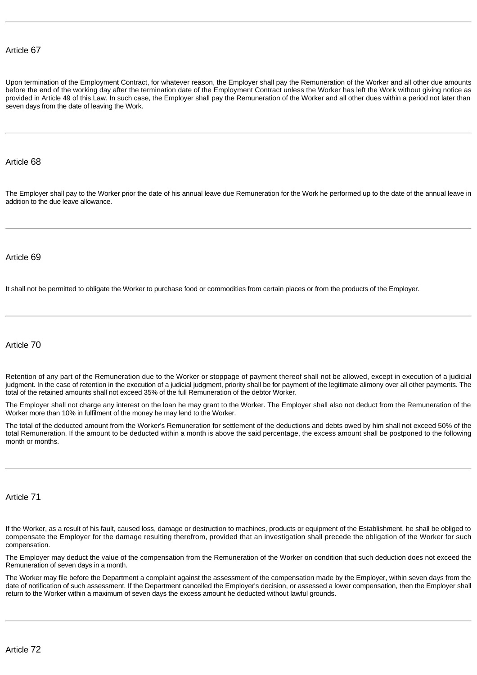# Article 67

Upon termination of the Employment Contract, for whatever reason, the Employer shall pay the Remuneration of the Worker and all other due amounts before the end of the working day after the termination date of the Employment Contract unless the Worker has left the Work without giving notice as provided in Article 49 of this Law. In such case, the Employer shall pay the Remuneration of the Worker and all other dues within a period not later than seven days from the date of leaving the Work.

#### Article 68

The Employer shall pay to the Worker prior the date of his annual leave due Remuneration for the Work he performed up to the date of the annual leave in addition to the due leave allowance.

#### Article 69

It shall not be permitted to obligate the Worker to purchase food or commodities from certain places or from the products of the Employer.

#### Article 70

Retention of any part of the Remuneration due to the Worker or stoppage of payment thereof shall not be allowed, except in execution of a judicial judgment. In the case of retention in the execution of a judicial judgment, priority shall be for payment of the legitimate alimony over all other payments. The total of the retained amounts shall not exceed 35% of the full Remuneration of the debtor Worker.

The Employer shall not charge any interest on the loan he may grant to the Worker. The Employer shall also not deduct from the Remuneration of the Worker more than 10% in fulfilment of the money he may lend to the Worker.

The total of the deducted amount from the Worker's Remuneration for settlement of the deductions and debts owed by him shall not exceed 50% of the total Remuneration. If the amount to be deducted within a month is above the said percentage, the excess amount shall be postponed to the following month or months.

# Article 71

If the Worker, as a result of his fault, caused loss, damage or destruction to machines, products or equipment of the Establishment, he shall be obliged to compensate the Employer for the damage resulting therefrom, provided that an investigation shall precede the obligation of the Worker for such compensation.

The Employer may deduct the value of the compensation from the Remuneration of the Worker on condition that such deduction does not exceed the Remuneration of seven days in a month.

The Worker may file before the Department a complaint against the assessment of the compensation made by the Employer, within seven days from the date of notification of such assessment. If the Department cancelled the Employer's decision, or assessed a lower compensation, then the Employer shall return to the Worker within a maximum of seven days the excess amount he deducted without lawful grounds.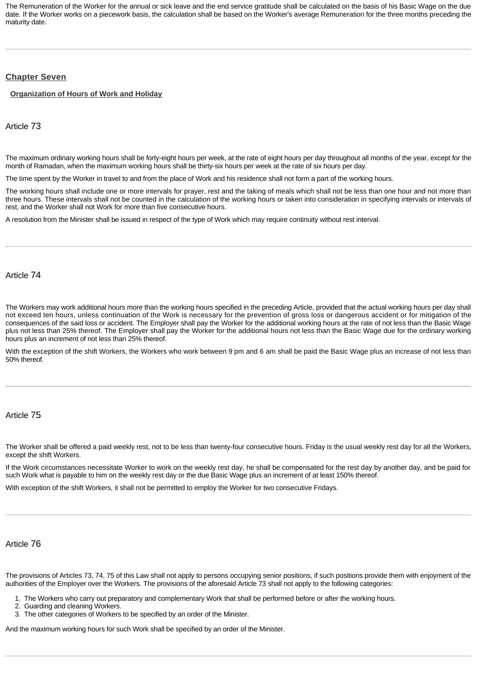The Remuneration of the Worker for the annual or sick leave and the end service gratitude shall be calculated on the basis of his Basic Wage on the due date. If the Worker works on a piecework basis, the calculation shall be based on the Worker's average Remuneration for the three months preceding the maturity date.

# <span id="page-17-0"></span>**[Chapter Seven](http://www.almeezan.qa/DownloadPage.aspx?Target=All&type=2&lawID=3961&language=en#)**

<span id="page-17-1"></span>**[Organization of Hours of Work and Holiday](http://www.almeezan.qa/DownloadPage.aspx?Target=All&type=2&lawID=3961&language=en#)**

Article 73

The maximum ordinary working hours shall be forty-eight hours per week, at the rate of eight hours per day throughout all months of the year, except for the month of Ramadan, when the maximum working hours shall be thirty-six hours per week at the rate of six hours per day.

The time spent by the Worker in travel to and from the place of Work and his residence shall not form a part of the working hours.

The working hours shall include one or more intervals for prayer, rest and the taking of meals which shall not be less than one hour and not more than three hours. These intervals shall not be counted in the calculation of the working hours or taken into consideration in specifying intervals or intervals of rest, and the Worker shall not Work for more than five consecutive hours.

A resolution from the Minister shall be issued in respect of the type of Work which may require continuity without rest interval.

Article 74

The Workers may work additional hours more than the working hours specified in the preceding Article, provided that the actual working hours per day shall not exceed ten hours, unless continuation of the Work is necessary for the prevention of gross loss or dangerous accident or for mitigation of the consequences of the said loss or accident. The Employer shall pay the Worker for the additional working hours at the rate of not less than the Basic Wage plus not less than 25% thereof. The Employer shall pay the Worker for the additional hours not less than the Basic Wage due for the ordinary working hours plus an increment of not less than 25% thereof.

With the exception of the shift Workers, the Workers who work between 9 pm and 6 am shall be paid the Basic Wage plus an increase of not less than 50% thereof.

# Article 75

The Worker shall be offered a paid weekly rest, not to be less than twenty-four consecutive hours. Friday is the usual weekly rest day for all the Workers, except the shift Workers.

If the Work circumstances necessitate Worker to work on the weekly rest day, he shall be compensated for the rest day by another day, and be paid for such Work what is payable to him on the weekly rest day or the due Basic Wage plus an increment of at least 150% thereof.

With exception of the shift Workers, it shall not be permitted to employ the Worker for two consecutive Fridays.

# Article 76

The provisions of Articles 73, 74, 75 of this Law shall not apply to persons occupying senior positions, if such positions provide them with enjoyment of the authorities of the Employer over the Workers. The provisions of the aforesaid Article 73 shall not apply to the following categories:

1. The Workers who carry out preparatory and complementary Work that shall be performed before or after the working hours.

- 2. Guarding and cleaning Workers.
- 3. The other categories of Workers to be specified by an order of the Minister.

And the maximum working hours for such Work shall be specified by an order of the Minister.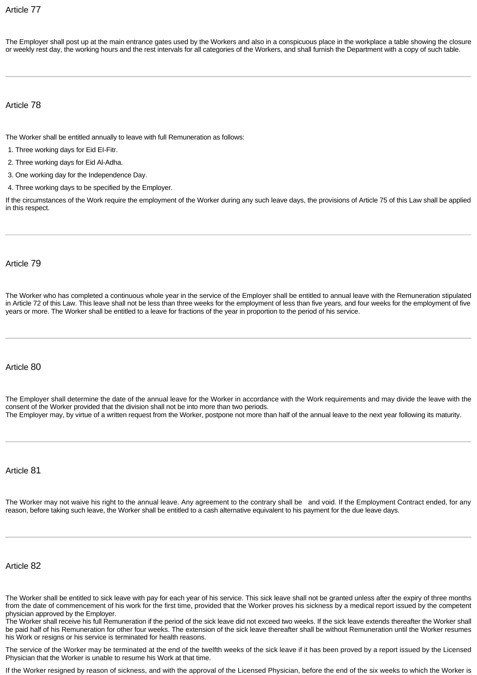# Article 77

The Employer shall post up at the main entrance gates used by the Workers and also in a conspicuous place in the workplace a table showing the closure or weekly rest day, the working hours and the rest intervals for all categories of the Workers, and shall furnish the Department with a copy of such table.

# Article 78

The Worker shall be entitled annually to leave with full Remuneration as follows:

- 1. Three working days for Eid EI-Fitr.
- 2. Three working days for Eid Al-Adha.
- 3. One working day for the Independence Day.
- 4. Three working days to be specified by the Employer.

If the circumstances of the Work require the employment of the Worker during any such leave days, the provisions of Article 75 of this Law shall be applied in this respect.

# Article 79

The Worker who has completed a continuous whole year in the service of the Employer shall be entitled to annual leave with the Remuneration stipulated in Article 72 of this Law. This leave shall not be less than three weeks for the employment of less than five years, and four weeks for the employment of five years or more. The Worker shall be entitled to a leave for fractions of the year in proportion to the period of his service.

# Article 80

The Employer shall determine the date of the annual leave for the Worker in accordance with the Work requirements and may divide the leave with the consent of the Worker provided that the division shall not be into more than two periods. The Employer may, by virtue of a written request from the Worker, postpone not more than half of the annual leave to the next year following its maturity.

# Article 81

The Worker may not waive his right to the annual leave. Any agreement to the contrary shall be and void. If the Employment Contract ended, for any reason, before taking such leave, the Worker shall be entitled to a cash alternative equivalent to his payment for the due leave days.

# Article 82

The Worker shall be entitled to sick leave with pay for each year of his service. This sick leave shall not be granted unless after the expiry of three months from the date of commencement of his work for the first time, provided that the Worker proves his sickness by a medical report issued by the competent physician approved by the Employer.

The Worker shall receive his full Remuneration if the period of the sick leave did not exceed two weeks. If the sick leave extends thereafter the Worker shall be paid half of his Remuneration for other four weeks. The extension of the sick leave thereafter shall be without Remuneration until the Worker resumes his Work or resigns or his service is terminated for health reasons.

The service of the Worker may be terminated at the end of the twelfth weeks of the sick leave if it has been proved by a report issued by the Licensed Physician that the Worker is unable to resume his Work at that time.

If the Worker resigned by reason of sickness, and with the approval of the Licensed Physician, before the end of the six weeks to which the Worker is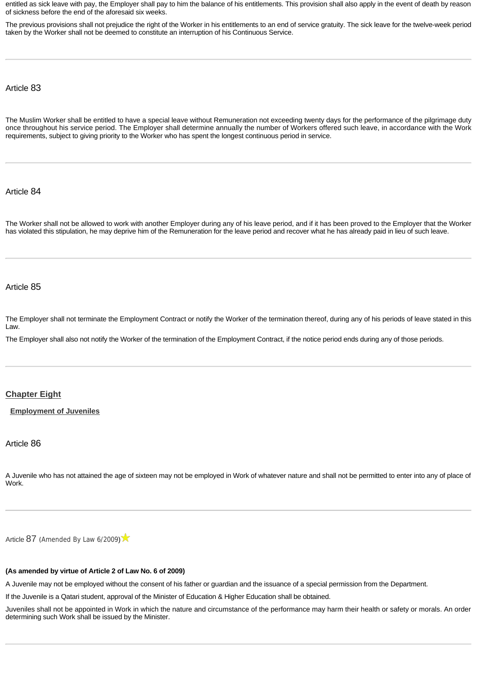entitled as sick leave with pay, the Employer shall pay to him the balance of his entitlements. This provision shall also apply in the event of death by reason of sickness before the end of the aforesaid six weeks.

The previous provisions shall not prejudice the right of the Worker in his entitlements to an end of service gratuity. The sick leave for the twelve-week period taken by the Worker shall not be deemed to constitute an interruption of his Continuous Service.

Article 83

The Muslim Worker shall be entitled to have a special leave without Remuneration not exceeding twenty days for the performance of the pilgrimage duty once throughout his service period. The Employer shall determine annually the number of Workers offered such leave, in accordance with the Work requirements, subject to giving priority to the Worker who has spent the longest continuous period in service.

Article 84

The Worker shall not be allowed to work with another Employer during any of his leave period, and if it has been proved to the Employer that the Worker has violated this stipulation, he may deprive him of the Remuneration for the leave period and recover what he has already paid in lieu of such leave.

Article 85

The Employer shall not terminate the Employment Contract or notify the Worker of the termination thereof, during any of his periods of leave stated in this Law.

The Employer shall also not notify the Worker of the termination of the Employment Contract, if the notice period ends during any of those periods.

# <span id="page-19-0"></span>**[Chapter Eight](http://www.almeezan.qa/DownloadPage.aspx?Target=All&type=2&lawID=3961&language=en#)**

<span id="page-19-1"></span>**[Employment of Juveniles](http://www.almeezan.qa/DownloadPage.aspx?Target=All&type=2&lawID=3961&language=en#)**

# Article 86

A Juvenile who has not attained the age of sixteen may not be employed in Work of whatever nature and shall not be permitted to enter into any of place of Work.

[Article](http://www.almeezan.qa/LawArticles.aspx?LawArticleID=51881&lawId=3961&language=en) [87](http://www.almeezan.qa/LawArticles.aspx?LawArticleID=51881&lawId=3961&language=en) ([Amended By Law 6/2009](http://www.almeezan.qa/LawPage.aspx?id=2632&language=en))

#### **(As amended by virtue of Article 2 of Law No. 6 of 2009)**

A Juvenile may not be employed without the consent of his father or guardian and the issuance of a special permission from the Department.

If the Juvenile is a Qatari student, approval of the Minister of Education & Higher Education shall be obtained.

Juveniles shall not be appointed in Work in which the nature and circumstance of the performance may harm their health or safety or morals. An order determining such Work shall be issued by the Minister.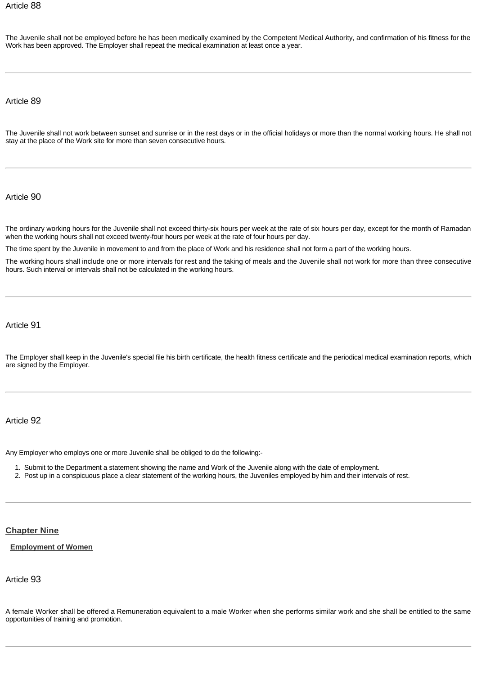The Juvenile shall not be employed before he has been medically examined by the Competent Medical Authority, and confirmation of his fitness for the Work has been approved. The Employer shall repeat the medical examination at least once a year.

Article 89

The Juvenile shall not work between sunset and sunrise or in the rest days or in the official holidays or more than the normal working hours. He shall not stay at the place of the Work site for more than seven consecutive hours.

# Article 90

The ordinary working hours for the Juvenile shall not exceed thirty-six hours per week at the rate of six hours per day, except for the month of Ramadan when the working hours shall not exceed twenty-four hours per week at the rate of four hours per day.

The time spent by the Juvenile in movement to and from the place of Work and his residence shall not form a part of the working hours.

The working hours shall include one or more intervals for rest and the taking of meals and the Juvenile shall not work for more than three consecutive hours. Such interval or intervals shall not be calculated in the working hours.

Article 91

The Employer shall keep in the Juvenile's special file his birth certificate, the health fitness certificate and the periodical medical examination reports, which are signed by the Employer.

# Article 92

Any Employer who employs one or more Juvenile shall be obliged to do the following:-

- 1. Submit to the Department a statement showing the name and Work of the Juvenile along with the date of employment.
- 2. Post up in a conspicuous place a clear statement of the working hours, the Juveniles employed by him and their intervals of rest.

# <span id="page-20-0"></span>**[Chapter Nine](http://www.almeezan.qa/DownloadPage.aspx?Target=All&type=2&lawID=3961&language=en#)**

<span id="page-20-1"></span>**[Employment of Women](http://www.almeezan.qa/DownloadPage.aspx?Target=All&type=2&lawID=3961&language=en#)**

# Article 93

A female Worker shall be offered a Remuneration equivalent to a male Worker when she performs similar work and she shall be entitled to the same opportunities of training and promotion.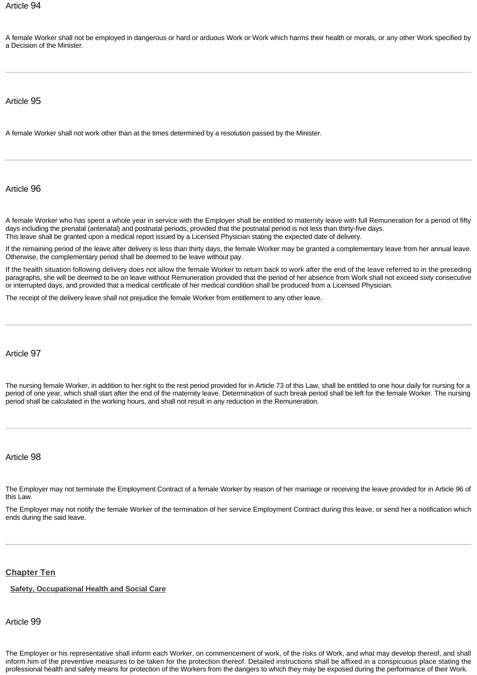A female Worker shall not be employed in dangerous or hard or arduous Work or Work which harms their health or morals, or any other Work specified by a Decision of the Minister.

# Article 95

A female Worker shall not work other than at the times determined by a resolution passed by the Minister.

Article 96

A female Worker who has spent a whole year in service with the Employer shall be entitled to maternity leave with full Remuneration for a period of fifty days including the prenatal (antenatal) and postnatal periods, provided that the postnatal period is not less than thirty-five days. This leave shall be granted upon a medical report issued by a Licensed Physician stating the expected date of delivery.

If the remaining period of the leave after delivery is less than thirty days, the female Worker may be granted a complementary leave from her annual leave. Otherwise, the complementary period shall be deemed to be leave without pay.

If the health situation following delivery does not allow the female Worker to return back to work after the end of the leave referred to in the preceding paragraphs, she will be deemed to be on leave without Remuneration provided that the period of her absence from Work shall not exceed sixty consecutive or interrupted days, and provided that a medical certificate of her medical condition shall be produced from a Licensed Physician.

The receipt of the delivery leave shall not prejudice the female Worker from entitlement to any other leave.

# Article 97

The nursing female Worker, in addition to her right to the rest period provided for in Article 73 of this Law, shall be entitled to one hour daily for nursing for a period of one year, which shall start after the end of the maternity leave. Determination of such break period shall be left for the female Worker. The nursing period shall be calculated in the working hours, and shall not result in any reduction in the Remuneration.

#### Article 98

The Employer may not terminate the Employment Contract of a female Worker by reason of her marriage or receiving the leave provided for in Article 96 of this Law.

The Employer may not notify the female Worker of the termination of her service Employment Contract during this leave, or send her a notification which ends during the said leave.

#### <span id="page-21-0"></span>**[Chapter Ten](http://www.almeezan.qa/DownloadPage.aspx?Target=All&type=2&lawID=3961&language=en#)**

<span id="page-21-1"></span>**[Safety, Occupational Health and Social Care](http://www.almeezan.qa/DownloadPage.aspx?Target=All&type=2&lawID=3961&language=en#)**

Article 99

The Employer or his representative shall inform each Worker, on commencement of work, of the risks of Work, and what may develop thereof, and shall inform him of the preventive measures to be taken for the protection thereof. Detailed instructions shall be affixed in a conspicuous place stating the professional health and safety means for protection of the Workers from the dangers to which they may be exposed during the performance of their Work.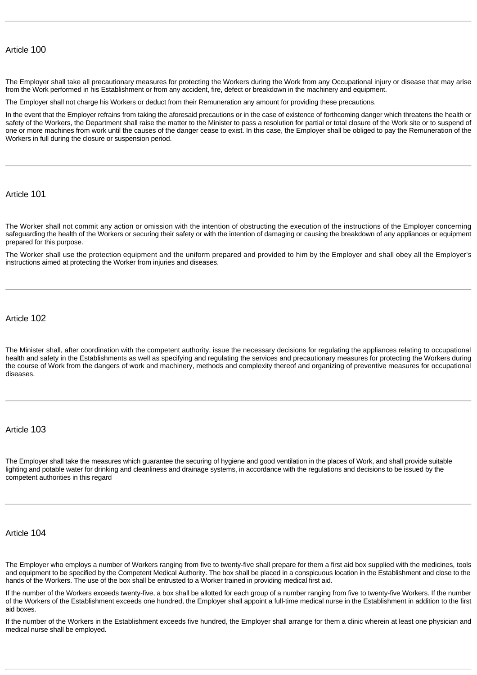# Article 100

The Employer shall take all precautionary measures for protecting the Workers during the Work from any Occupational injury or disease that may arise from the Work performed in his Establishment or from any accident, fire, defect or breakdown in the machinery and equipment.

The Employer shall not charge his Workers or deduct from their Remuneration any amount for providing these precautions.

In the event that the Employer refrains from taking the aforesaid precautions or in the case of existence of forthcoming danger which threatens the health or safety of the Workers, the Department shall raise the matter to the Minister to pass a resolution for partial or total closure of the Work site or to suspend of one or more machines from work until the causes of the danger cease to exist. In this case, the Employer shall be obliged to pay the Remuneration of the Workers in full during the closure or suspension period.

Article 101

The Worker shall not commit any action or omission with the intention of obstructing the execution of the instructions of the Employer concerning safeguarding the health of the Workers or securing their safety or with the intention of damaging or causing the breakdown of any appliances or equipment prepared for this purpose.

The Worker shall use the protection equipment and the uniform prepared and provided to him by the Employer and shall obey all the Employer's instructions aimed at protecting the Worker from injuries and diseases.

Article 102

The Minister shall, after coordination with the competent authority, issue the necessary decisions for regulating the appliances relating to occupational health and safety in the Establishments as well as specifying and regulating the services and precautionary measures for protecting the Workers during the course of Work from the dangers of work and machinery, methods and complexity thereof and organizing of preventive measures for occupational diseases.

Article 103

The Employer shall take the measures which guarantee the securing of hygiene and good ventilation in the places of Work, and shall provide suitable lighting and potable water for drinking and cleanliness and drainage systems, in accordance with the regulations and decisions to be issued by the competent authorities in this regard

#### Article 104

The Employer who employs a number of Workers ranging from five to twenty-five shall prepare for them a first aid box supplied with the medicines, tools and equipment to be specified by the Competent Medical Authority. The box shall be placed in a conspicuous location in the Establishment and close to the hands of the Workers. The use of the box shall be entrusted to a Worker trained in providing medical first aid.

If the number of the Workers exceeds twenty-five, a box shall be allotted for each group of a number ranging from five to twenty-five Workers. If the number of the Workers of the Establishment exceeds one hundred, the Employer shall appoint a full-time medical nurse in the Establishment in addition to the first aid boxes.

If the number of the Workers in the Establishment exceeds five hundred, the Employer shall arrange for them a clinic wherein at least one physician and medical nurse shall be employed.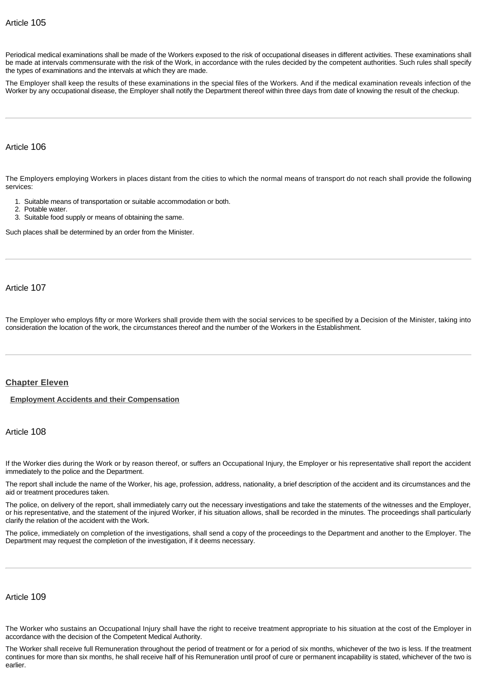Periodical medical examinations shall be made of the Workers exposed to the risk of occupational diseases in different activities. These examinations shall be made at intervals commensurate with the risk of the Work, in accordance with the rules decided by the competent authorities. Such rules shall specify the types of examinations and the intervals at which they are made.

The Employer shall keep the results of these examinations in the special files of the Workers. And if the medical examination reveals infection of the Worker by any occupational disease, the Employer shall notify the Department thereof within three days from date of knowing the result of the checkup.

# Article 106

The Employers employing Workers in places distant from the cities to which the normal means of transport do not reach shall provide the following services:

- 1. Suitable means of transportation or suitable accommodation or both.
- 2. Potable water.
- 3. Suitable food supply or means of obtaining the same.

Such places shall be determined by an order from the Minister.

Article 107

The Employer who employs fifty or more Workers shall provide them with the social services to be specified by a Decision of the Minister, taking into consideration the location of the work, the circumstances thereof and the number of the Workers in the Establishment.

# <span id="page-23-0"></span>**[Chapter Eleven](http://www.almeezan.qa/DownloadPage.aspx?Target=All&type=2&lawID=3961&language=en#)**

#### <span id="page-23-1"></span>**[Employment Accidents and their Compensation](http://www.almeezan.qa/DownloadPage.aspx?Target=All&type=2&lawID=3961&language=en#)**

#### Article 108

If the Worker dies during the Work or by reason thereof, or suffers an Occupational Injury, the Employer or his representative shall report the accident immediately to the police and the Department.

The report shall include the name of the Worker, his age, profession, address, nationality, a brief description of the accident and its circumstances and the aid or treatment procedures taken.

The police, on delivery of the report, shall immediately carry out the necessary investigations and take the statements of the witnesses and the Employer, or his representative, and the statement of the injured Worker, if his situation allows, shall be recorded in the minutes. The proceedings shall particularly clarify the relation of the accident with the Work.

The police, immediately on completion of the investigations, shall send a copy of the proceedings to the Department and another to the Employer. The Department may request the completion of the investigation, if it deems necessary.

# Article 109

The Worker who sustains an Occupational Injury shall have the right to receive treatment appropriate to his situation at the cost of the Employer in accordance with the decision of the Competent Medical Authority.

The Worker shall receive full Remuneration throughout the period of treatment or for a period of six months, whichever of the two is less. If the treatment continues for more than six months, he shall receive half of his Remuneration until proof of cure or permanent incapability is stated, whichever of the two is earlier.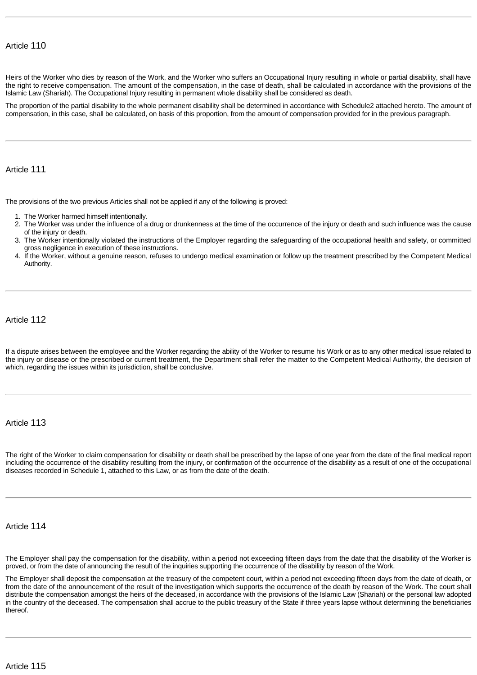Heirs of the Worker who dies by reason of the Work, and the Worker who suffers an Occupational Injury resulting in whole or partial disability, shall have the right to receive compensation. The amount of the compensation, in the case of death, shall be calculated in accordance with the provisions of the Islamic Law (Shariah). The Occupational Injury resulting in permanent whole disability shall be considered as death.

The proportion of the partial disability to the whole permanent disability shall be determined in accordance with Schedule2 attached hereto. The amount of compensation, in this case, shall be calculated, on basis of this proportion, from the amount of compensation provided for in the previous paragraph.

# Article 111

The provisions of the two previous Articles shall not be applied if any of the following is proved:

- 1. The Worker harmed himself intentionally.
- 2. The Worker was under the influence of a drug or drunkenness at the time of the occurrence of the injury or death and such influence was the cause of the injury or death.
- 3. The Worker intentionally violated the instructions of the Employer regarding the safeguarding of the occupational health and safety, or committed gross negligence in execution of these instructions.
- 4. If the Worker, without a genuine reason, refuses to undergo medical examination or follow up the treatment prescribed by the Competent Medical Authority.

Article 112

If a dispute arises between the employee and the Worker regarding the ability of the Worker to resume his Work or as to any other medical issue related to the injury or disease or the prescribed or current treatment, the Department shall refer the matter to the Competent Medical Authority, the decision of which, regarding the issues within its jurisdiction, shall be conclusive.

# Article 113

The right of the Worker to claim compensation for disability or death shall be prescribed by the lapse of one year from the date of the final medical report including the occurrence of the disability resulting from the injury, or confirmation of the occurrence of the disability as a result of one of the occupational diseases recorded in Schedule 1, attached to this Law, or as from the date of the death.

Article 114

The Employer shall pay the compensation for the disability, within a period not exceeding fifteen days from the date that the disability of the Worker is proved, or from the date of announcing the result of the inquiries supporting the occurrence of the disability by reason of the Work.

The Employer shall deposit the compensation at the treasury of the competent court, within a period not exceeding fifteen days from the date of death, or from the date of the announcement of the result of the investigation which supports the occurrence of the death by reason of the Work. The court shall distribute the compensation amongst the heirs of the deceased, in accordance with the provisions of the Islamic Law (Shariah) or the personal law adopted in the country of the deceased. The compensation shall accrue to the public treasury of the State if three years lapse without determining the beneficiaries thereof.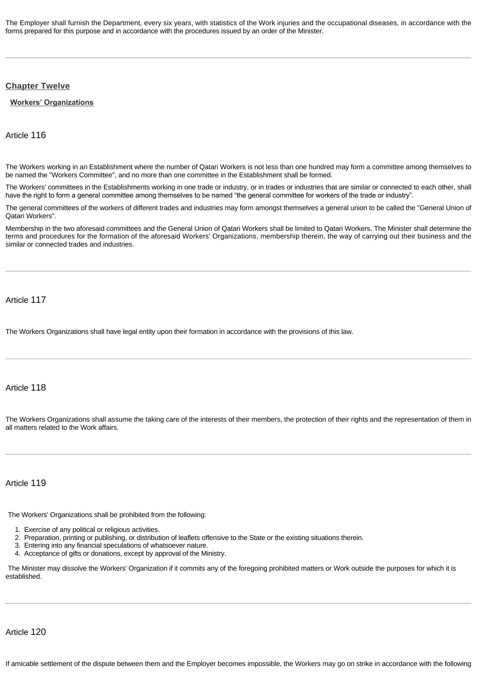The Employer shall furnish the Department, every six years, with statistics of the Work injuries and the occupational diseases, in accordance with the forms prepared for this purpose and in accordance with the procedures issued by an order of the Minister.

#### <span id="page-25-0"></span>**[Chapter Twelve](http://www.almeezan.qa/DownloadPage.aspx?Target=All&type=2&lawID=3961&language=en#)**

#### <span id="page-25-1"></span>**[Workers' Organizations](http://www.almeezan.qa/DownloadPage.aspx?Target=All&type=2&lawID=3961&language=en#)**

Article 116

The Workers working in an Establishment where the number of Qatari Workers is not less than one hundred may form a committee among themselves to be named the "Workers Committee", and no more than one committee in the Establishment shall be formed.

The Workers' committees in the Establishments working in one trade or industry, or in trades or industries that are similar or connected to each other, shall have the right to form a general committee among themselves to be named "the general committee for workers of the trade or industry".

The general committees of the workers of different trades and industries may form amongst themselves a general union to be called the "General Union of Qatari Workers".

Membership in the two aforesaid committees and the General Union of Qatari Workers shall be limited to Qatari Workers. The Minister shall determine the terms and procedures for the formation of the aforesaid Workers' Organizations, membership therein, the way of carrying out their business and the similar or connected trades and industries.

Article 117

The Workers Organizations shall have legal entity upon their formation in accordance with the provisions of this law.

#### Article 118

The Workers Organizations shall assume the taking care of the interests of their members, the protection of their rights and the representation of them in all matters related to the Work affairs.

Article 119

The Workers' Organizations shall be prohibited from the following:

- 1. Exercise of any political or religious activities.
- 2. Preparation, printing or publishing, or distribution of leaflets offensive to the State or the existing situations therein.
- 3. Entering into any financial speculations of whatsoever nature.
- 4. Acceptance of gifts or donations, except by approval of the Ministry.

The Minister may dissolve the Workers' Organization if it commits any of the foregoing prohibited matters or Work outside the purposes for which it is established.

Article 120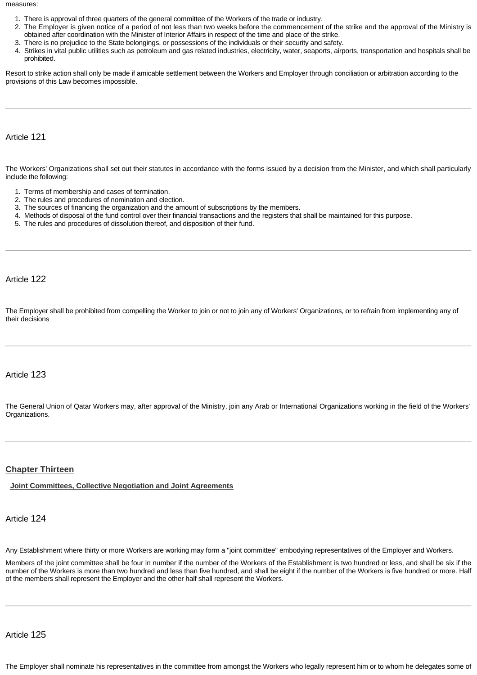measures:

- 1. There is approval of three quarters of the general committee of the Workers of the trade or industry.
- 2. The Employer is given notice of a period of not less than two weeks before the commencement of the strike and the approval of the Ministry is obtained after coordination with the Minister of Interior Affairs in respect of the time and place of the strike.
- 3. There is no prejudice to the State belongings, or possessions of the individuals or their security and safety.
- 4. Strikes in vital public utilities such as petroleum and gas related industries, electricity, water, seaports, airports, transportation and hospitals shall be prohibited.

Resort to strike action shall only be made if amicable settlement between the Workers and Employer through conciliation or arbitration according to the provisions of this Law becomes impossible.

Article 121

The Workers' Organizations shall set out their statutes in accordance with the forms issued by a decision from the Minister, and which shall particularly include the following:

- 1. Terms of membership and cases of termination.
- 2. The rules and procedures of nomination and election.
- 3. The sources of financing the organization and the amount of subscriptions by the members.
- 4. Methods of disposal of the fund control over their financial transactions and the registers that shall be maintained for this purpose.
- 5. The rules and procedures of dissolution thereof, and disposition of their fund.

Article 122

The Employer shall be prohibited from compelling the Worker to join or not to join any of Workers' Organizations, or to refrain from implementing any of their decisions

### Article 123

The General Union of Qatar Workers may, after approval of the Ministry, join any Arab or International Organizations working in the field of the Workers' Organizations.

#### <span id="page-26-0"></span>**[Chapter Thirteen](http://www.almeezan.qa/DownloadPage.aspx?Target=All&type=2&lawID=3961&language=en#)**

<span id="page-26-1"></span>**[Joint Committees, Collective Negotiation and Joint Agreements](http://www.almeezan.qa/DownloadPage.aspx?Target=All&type=2&lawID=3961&language=en#)**

#### Article 124

Any Establishment where thirty or more Workers are working may form a "joint committee" embodying representatives of the Employer and Workers.

Members of the joint committee shall be four in number if the number of the Workers of the Establishment is two hundred or less, and shall be six if the number of the Workers is more than two hundred and less than five hundred, and shall be eight if the number of the Workers is five hundred or more. Half of the members shall represent the Employer and the other half shall represent the Workers.

Article 125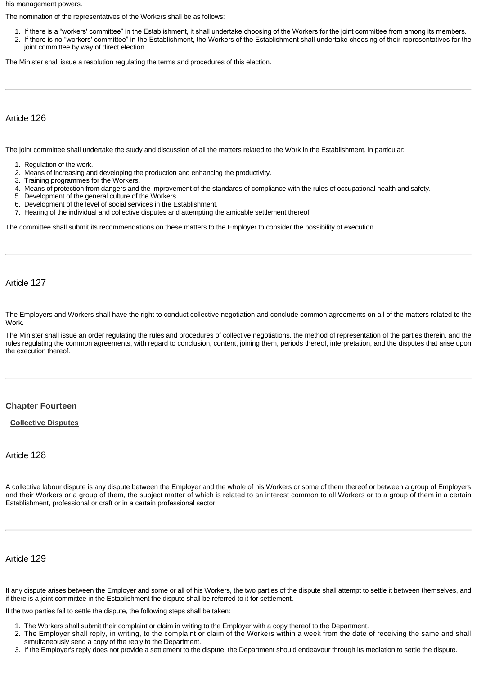his management powers.

The nomination of the representatives of the Workers shall be as follows:

- 1. If there is a "workers' committee" in the Establishment, it shall undertake choosing of the Workers for the joint committee from among its members.
- 2. If there is no "workers' committee" in the Establishment, the Workers of the Establishment shall undertake choosing of their representatives for the joint committee by way of direct election.

The Minister shall issue a resolution regulating the terms and procedures of this election.

Article 126

The joint committee shall undertake the study and discussion of all the matters related to the Work in the Establishment, in particular:

- 1. Regulation of the work.
- 2. Means of increasing and developing the production and enhancing the productivity.
- 3. Training programmes for the Workers.
- 4. Means of protection from dangers and the improvement of the standards of compliance with the rules of occupational health and safety.
- 5. Development of the general culture of the Workers.
- 6. Development of the level of social services in the Establishment.
- 7. Hearing of the individual and collective disputes and attempting the amicable settlement thereof.

The committee shall submit its recommendations on these matters to the Employer to consider the possibility of execution.

Article 127

The Employers and Workers shall have the right to conduct collective negotiation and conclude common agreements on all of the matters related to the Work.

The Minister shall issue an order regulating the rules and procedures of collective negotiations, the method of representation of the parties therein, and the rules regulating the common agreements, with regard to conclusion, content, joining them, periods thereof, interpretation, and the disputes that arise upon the execution thereof.

#### <span id="page-27-0"></span>**[Chapter Fourteen](http://www.almeezan.qa/DownloadPage.aspx?Target=All&type=2&lawID=3961&language=en#)**

<span id="page-27-1"></span>**[Collective Disputes](http://www.almeezan.qa/DownloadPage.aspx?Target=All&type=2&lawID=3961&language=en#)**

# Article 128

A collective labour dispute is any dispute between the Employer and the whole of his Workers or some of them thereof or between a group of Employers and their Workers or a group of them, the subject matter of which is related to an interest common to all Workers or to a group of them in a certain Establishment, professional or craft or in a certain professional sector.

Article 129

If any dispute arises between the Employer and some or all of his Workers, the two parties of the dispute shall attempt to settle it between themselves, and if there is a joint committee in the Establishment the dispute shall be referred to it for settlement.

If the two parties fail to settle the dispute, the following steps shall be taken:

- 1. The Workers shall submit their complaint or claim in writing to the Employer with a copy thereof to the Department.
- 2. The Employer shall reply, in writing, to the complaint or claim of the Workers within a week from the date of receiving the same and shall simultaneously send a copy of the reply to the Department.
- 3. If the Employer's reply does not provide a settlement to the dispute, the Department should endeavour through its mediation to settle the dispute.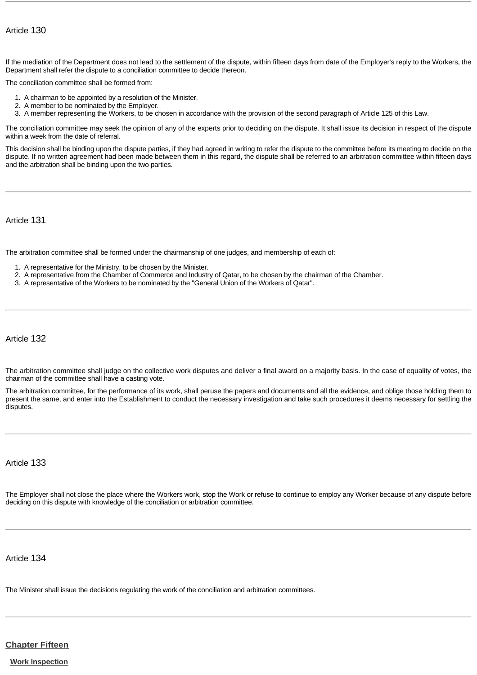# Article 130

If the mediation of the Department does not lead to the settlement of the dispute, within fifteen days from date of the Employer's reply to the Workers, the Department shall refer the dispute to a conciliation committee to decide thereon.

The conciliation committee shall be formed from:

- 1. A chairman to be appointed by a resolution of the Minister.
- 2. A member to be nominated by the Employer.
- 3. A member representing the Workers, to be chosen in accordance with the provision of the second paragraph of Article 125 of this Law.

The conciliation committee may seek the opinion of any of the experts prior to deciding on the dispute. It shall issue its decision in respect of the dispute within a week from the date of referral.

This decision shall be binding upon the dispute parties, if they had agreed in writing to refer the dispute to the committee before its meeting to decide on the dispute. If no written agreement had been made between them in this regard, the dispute shall be referred to an arbitration committee within fifteen days and the arbitration shall be binding upon the two parties.

Article 131

The arbitration committee shall be formed under the chairmanship of one judges, and membership of each of:

- 1. A representative for the Ministry, to be chosen by the Minister.
- 2. A representative from the Chamber of Commerce and Industry of Qatar, to be chosen by the chairman of the Chamber.
- 3. A representative of the Workers to be nominated by the "General Union of the Workers of Qatar".

Article 132

The arbitration committee shall judge on the collective work disputes and deliver a final award on a majority basis. In the case of equality of votes, the chairman of the committee shall have a casting vote.

The arbitration committee, for the performance of its work, shall peruse the papers and documents and all the evidence, and oblige those holding them to present the same, and enter into the Establishment to conduct the necessary investigation and take such procedures it deems necessary for settling the disputes.

# Article 133

The Employer shall not close the place where the Workers work, stop the Work or refuse to continue to employ any Worker because of any dispute before deciding on this dispute with knowledge of the conciliation or arbitration committee.

Article 134

The Minister shall issue the decisions regulating the work of the conciliation and arbitration committees.

# <span id="page-28-0"></span>**[Chapter Fifteen](http://www.almeezan.qa/DownloadPage.aspx?Target=All&type=2&lawID=3961&language=en#)**

<span id="page-28-1"></span>**[Work Inspection](http://www.almeezan.qa/DownloadPage.aspx?Target=All&type=2&lawID=3961&language=en#)**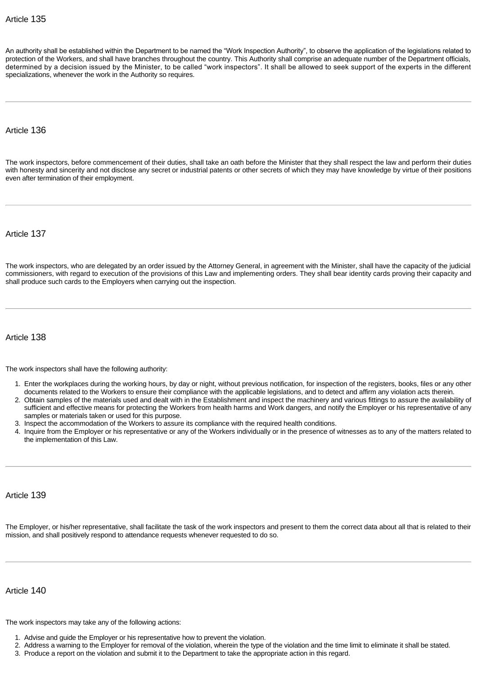An authority shall be established within the Department to be named the "Work Inspection Authority", to observe the application of the legislations related to protection of the Workers, and shall have branches throughout the country. This Authority shall comprise an adequate number of the Department officials, determined by a decision issued by the Minister, to be called "work inspectors". It shall be allowed to seek support of the experts in the different specializations, whenever the work in the Authority so requires.

#### Article 136

The work inspectors, before commencement of their duties, shall take an oath before the Minister that they shall respect the law and perform their duties with honesty and sincerity and not disclose any secret or industrial patents or other secrets of which they may have knowledge by virtue of their positions even after termination of their employment.

Article 137

The work inspectors, who are delegated by an order issued by the Attorney General, in agreement with the Minister, shall have the capacity of the judicial commissioners, with regard to execution of the provisions of this Law and implementing orders. They shall bear identity cards proving their capacity and shall produce such cards to the Employers when carrying out the inspection.

Article 138

The work inspectors shall have the following authority:

- 1. Enter the workplaces during the working hours, by day or night, without previous notification, for inspection of the registers, books, files or any other documents related to the Workers to ensure their compliance with the applicable legislations, and to detect and affirm any violation acts therein.
- 2. Obtain samples of the materials used and dealt with in the Establishment and inspect the machinery and various fittings to assure the availability of sufficient and effective means for protecting the Workers from health harms and Work dangers, and notify the Employer or his representative of any samples or materials taken or used for this purpose.
- 3. Inspect the accommodation of the Workers to assure its compliance with the required health conditions.
- 4. Inquire from the Employer or his representative or any of the Workers individually or in the presence of witnesses as to any of the matters related to the implementation of this Law.

Article 139

The Employer, or his/her representative, shall facilitate the task of the work inspectors and present to them the correct data about all that is related to their mission, and shall positively respond to attendance requests whenever requested to do so.

Article 140

The work inspectors may take any of the following actions:

- 1. Advise and guide the Employer or his representative how to prevent the violation.
- 2. Address a warning to the Employer for removal of the violation, wherein the type of the violation and the time limit to eliminate it shall be stated.
- 3. Produce a report on the violation and submit it to the Department to take the appropriate action in this regard.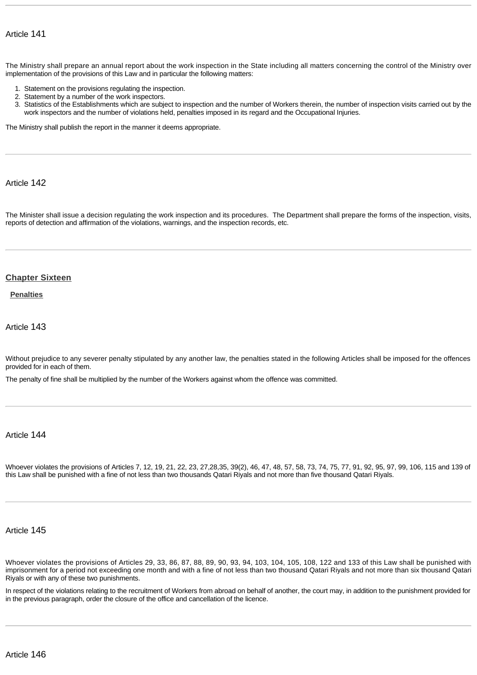The Ministry shall prepare an annual report about the work inspection in the State including all matters concerning the control of the Ministry over implementation of the provisions of this Law and in particular the following matters:

- 1. Statement on the provisions regulating the inspection.
- 2. Statement by a number of the work inspectors.
- 3. Statistics of the Establishments which are subject to inspection and the number of Workers therein, the number of inspection visits carried out by the work inspectors and the number of violations held, penalties imposed in its regard and the Occupational Injuries.

The Ministry shall publish the report in the manner it deems appropriate.

# Article 142

The Minister shall issue a decision regulating the work inspection and its procedures. The Department shall prepare the forms of the inspection, visits, reports of detection and affirmation of the violations, warnings, and the inspection records, etc.

#### <span id="page-30-0"></span>**[Chapter Sixteen](http://www.almeezan.qa/DownloadPage.aspx?Target=All&type=2&lawID=3961&language=en#)**

<span id="page-30-1"></span>**[Penalties](http://www.almeezan.qa/DownloadPage.aspx?Target=All&type=2&lawID=3961&language=en#)**

Article 143

Without prejudice to any severer penalty stipulated by any another law, the penalties stated in the following Articles shall be imposed for the offences provided for in each of them.

The penalty of fine shall be multiplied by the number of the Workers against whom the offence was committed.

### Article 144

Whoever violates the provisions of Articles 7, 12, 19, 21, 22, 23, 27,28,35, 39(2), 46, 47, 48, 57, 58, 73, 74, 75, 77, 91, 92, 95, 97, 99, 106, 115 and 139 of this Law shall be punished with a fine of not less than two thousands Qatari Riyals and not more than five thousand Qatari Riyals.

### Article 145

Whoever violates the provisions of Articles 29, 33, 86, 87, 88, 89, 90, 93, 94, 103, 104, 105, 108, 122 and 133 of this Law shall be punished with imprisonment for a period not exceeding one month and with a fine of not less than two thousand Qatari Riyals and not more than six thousand Qatari Riyals or with any of these two punishments.

In respect of the violations relating to the recruitment of Workers from abroad on behalf of another, the court may, in addition to the punishment provided for in the previous paragraph, order the closure of the office and cancellation of the licence.